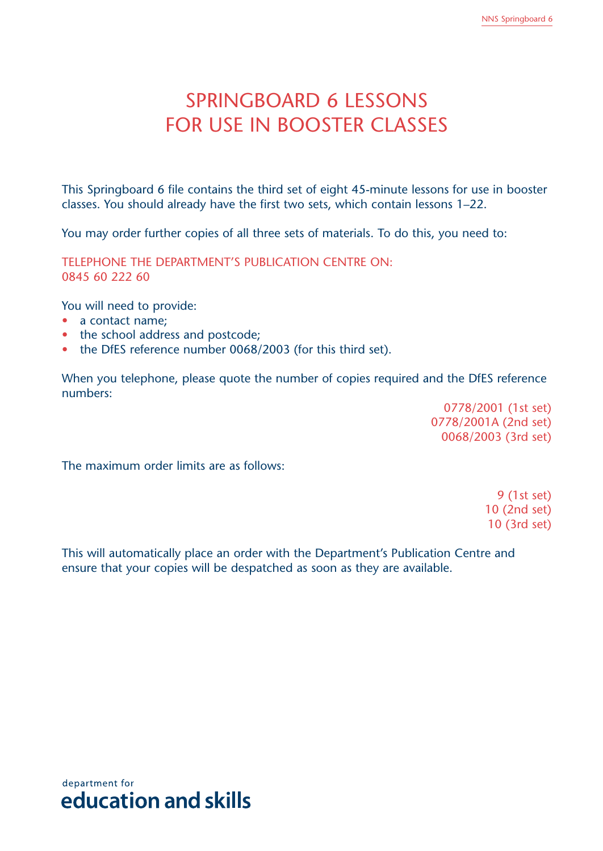## SPRINGBOARD 6 LESSONS FOR USE IN BOOSTER CLASSES

This Springboard 6 file contains the third set of eight 45-minute lessons for use in booster classes. You should already have the first two sets, which contain lessons 1–22.

You may order further copies of all three sets of materials. To do this, you need to:

TELEPHONE THE DEPARTMENT'S PUBLICATION CENTRE ON: 0845 60 222 60

You will need to provide:

- a contact name:
- the school address and postcode;
- the DfES reference number 0068/2003 (for this third set).

When you telephone, please quote the number of copies required and the DfES reference numbers:

> 0778/2001 (1st set) 0778/2001A (2nd set) 0068/2003 (3rd set)

The maximum order limits are as follows:

9 (1st set) 10 (2nd set) 10 (3rd set)

This will automatically place an order with the Department's Publication Centre and ensure that your copies will be despatched as soon as they are available.

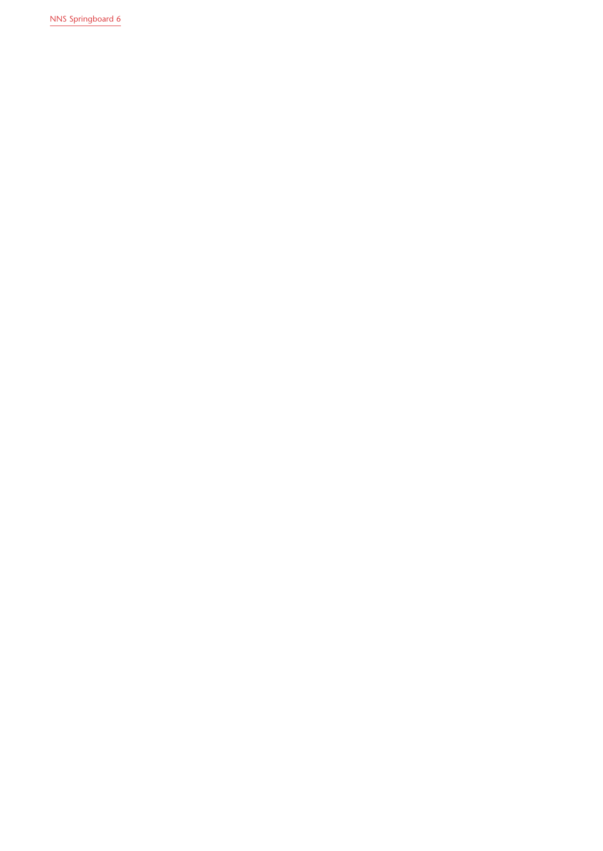NNS Springboard 6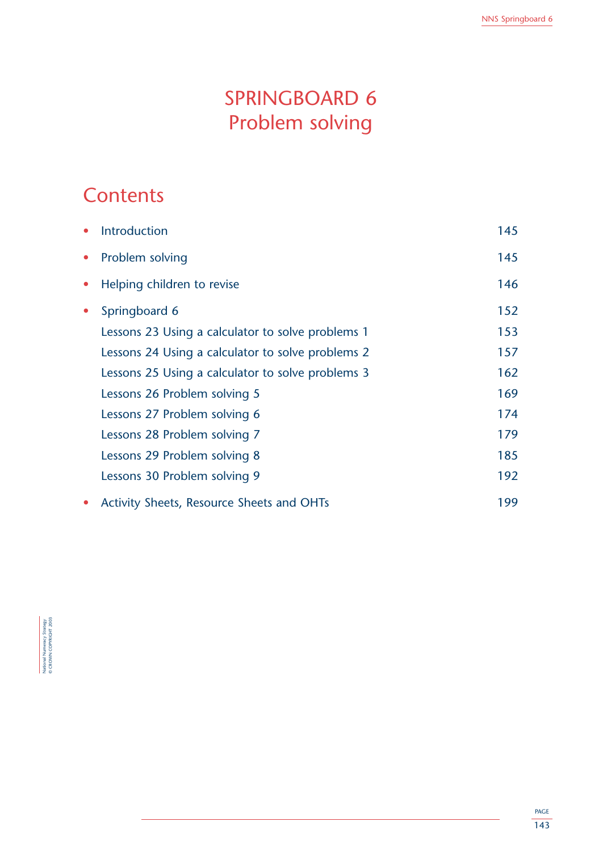# SPRINGBOARD 6 Problem solving

# **Contents**

| $\bullet$ | Introduction                                      | 145 |
|-----------|---------------------------------------------------|-----|
| $\bullet$ | Problem solving                                   | 145 |
| $\bullet$ | Helping children to revise                        | 146 |
| $\bullet$ | Springboard 6                                     | 152 |
|           | Lessons 23 Using a calculator to solve problems 1 | 153 |
|           | Lessons 24 Using a calculator to solve problems 2 | 157 |
|           | Lessons 25 Using a calculator to solve problems 3 | 162 |
|           | Lessons 26 Problem solving 5                      | 169 |
|           | Lessons 27 Problem solving 6                      | 174 |
|           | Lessons 28 Problem solving 7                      | 179 |
|           | Lessons 29 Problem solving 8                      | 185 |
|           | Lessons 30 Problem solving 9                      | 192 |
| $\bullet$ | <b>Activity Sheets, Resource Sheets and OHTs</b>  | 199 |



PAGE 143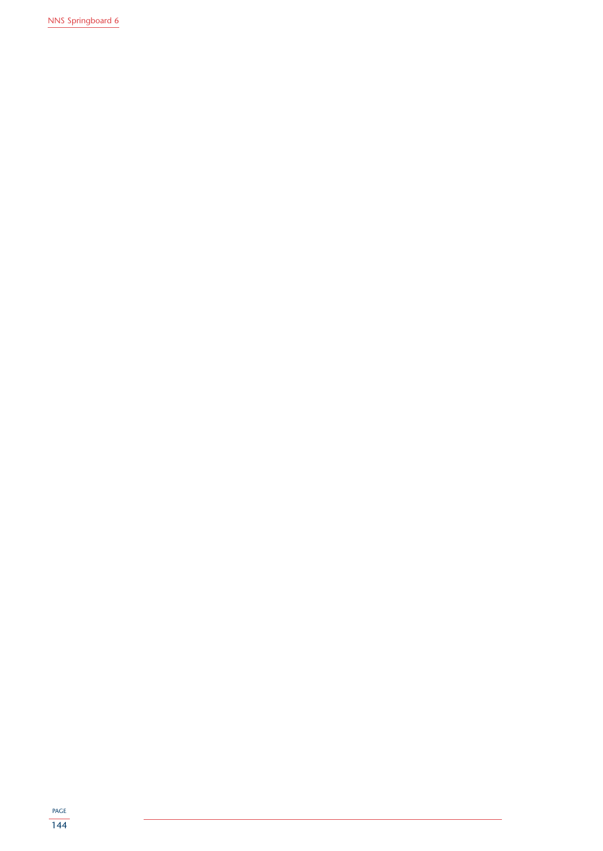NNS Springboard 6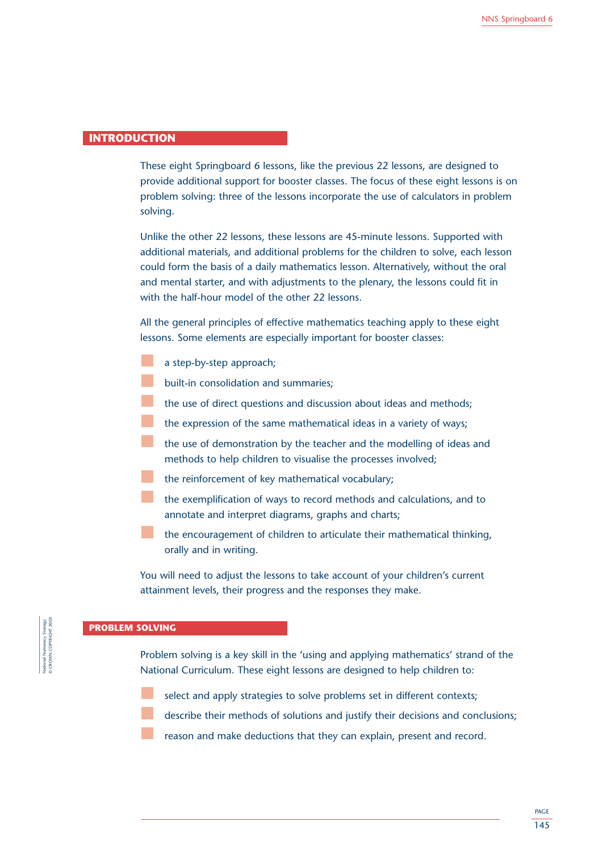## **INTRODUCTION**

These eight Springboard 6 lessons, like the previous 22 lessons, are designed to provide additional support for booster classes. The focus of these eight lessons is on problem solving: three of the lessons incorporate the use of calculators in problem solving.

Unlike the other 22 lessons, these lessons are 45-minute lessons. Supported with additional materials, and additional problems for the children to solve, each lesson could form the basis of a daily mathematics lesson. Alternatively, without the oral and mental starter, and with adjustments to the plenary, the lessons could fit in with the half-hour model of the other 22 lessons.

All the general principles of effective mathematics teaching apply to these eight lessons. Some elements are especially important for booster classes:

- a step-by-step approach;
- built-in consolidation and summaries;
- the use of direct questions and discussion about ideas and methods;
- the expression of the same mathematical ideas in a variety of ways;
- the use of demonstration by the teacher and the modelling of ideas and methods to help children to visualise the processes involved;
- the reinforcement of key mathematical vocabulary;
- the exemplification of ways to record methods and calculations, and to annotate and interpret diagrams, graphs and charts;
- the encouragement of children to articulate their mathematical thinking, orally and in writing.

You will need to adjust the lessons to take account of your children's current attainment levels, their progress and the responses they make.

National Numeracy Strategy

## **PROBLEM SOLVING**

Problem solving is a key skill in the 'using and applying mathematics' strand of the National Curriculum. These eight lessons are designed to help children to:

- select and apply strategies to solve problems set in different contexts;
- describe their methods of solutions and justify their decisions and conclusions;
- reason and make deductions that they can explain, present and record.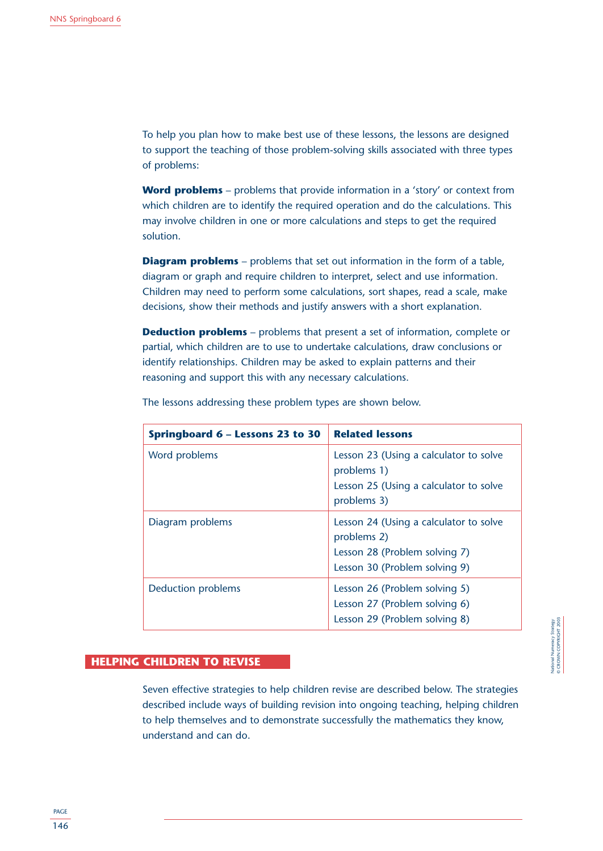To help you plan how to make best use of these lessons, the lessons are designed to support the teaching of those problem-solving skills associated with three types of problems:

**Word problems** – problems that provide information in a 'story' or context from which children are to identify the required operation and do the calculations. This may involve children in one or more calculations and steps to get the required solution.

**Diagram problems** – problems that set out information in the form of a table, diagram or graph and require children to interpret, select and use information. Children may need to perform some calculations, sort shapes, read a scale, make decisions, show their methods and justify answers with a short explanation.

**Deduction problems** – problems that present a set of information, complete or partial, which children are to use to undertake calculations, draw conclusions or identify relationships. Children may be asked to explain patterns and their reasoning and support this with any necessary calculations.

| Springboard 6 - Lessons 23 to 30 | <b>Related lessons</b>                                                                                                  |
|----------------------------------|-------------------------------------------------------------------------------------------------------------------------|
| Word problems                    | Lesson 23 (Using a calculator to solve<br>problems 1)<br>Lesson 25 (Using a calculator to solve<br>problems 3)          |
| Diagram problems                 | Lesson 24 (Using a calculator to solve<br>problems 2)<br>Lesson 28 (Problem solving 7)<br>Lesson 30 (Problem solving 9) |
| Deduction problems               | Lesson 26 (Problem solving 5)<br>Lesson 27 (Problem solving 6)<br>Lesson 29 (Problem solving 8)                         |

The lessons addressing these problem types are shown below.

## **HELPING CHILDREN TO REVISE**

Seven effective strategies to help children revise are described below. The strategies described include ways of building revision into ongoing teaching, helping children to help themselves and to demonstrate successfully the mathematics they know, understand and can do.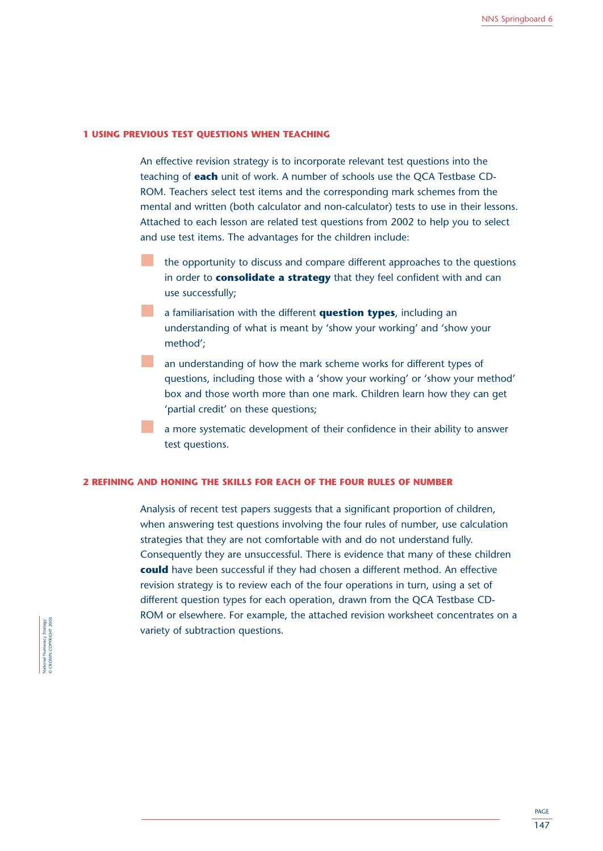## **1 USING PREVIOUS TEST QUESTIONS WHEN TEACHING**

An effective revision strategy is to incorporate relevant test questions into the teaching of **each** unit of work. A number of schools use the QCA Testbase CD-ROM. Teachers select test items and the corresponding mark schemes from the mental and written (both calculator and non-calculator) tests to use in their lessons. Attached to each lesson are related test questions from 2002 to help you to select and use test items. The advantages for the children include:

the opportunity to discuss and compare different approaches to the questions in order to **consolidate a strategy** that they feel confident with and can use successfully;

a familiarisation with the different **question types**, including an understanding of what is meant by 'show your working' and 'show your method';

an understanding of how the mark scheme works for different types of questions, including those with a 'show your working' or 'show your method' box and those worth more than one mark. Children learn how they can get 'partial credit' on these questions;

a more systematic development of their confidence in their ability to answer test questions.

## **2 REFINING AND HONING THE SKILLS FOR EACH OF THE FOUR RULES OF NUMBER**

Analysis of recent test papers suggests that a significant proportion of children, when answering test questions involving the four rules of number, use calculation strategies that they are not comfortable with and do not understand fully. Consequently they are unsuccessful. There is evidence that many of these children **could** have been successful if they had chosen a different method. An effective revision strategy is to review each of the four operations in turn, using a set of different question types for each operation, drawn from the QCA Testbase CD-ROM or elsewhere. For example, the attached revision worksheet concentrates on a variety of subtraction questions.

PAGE 147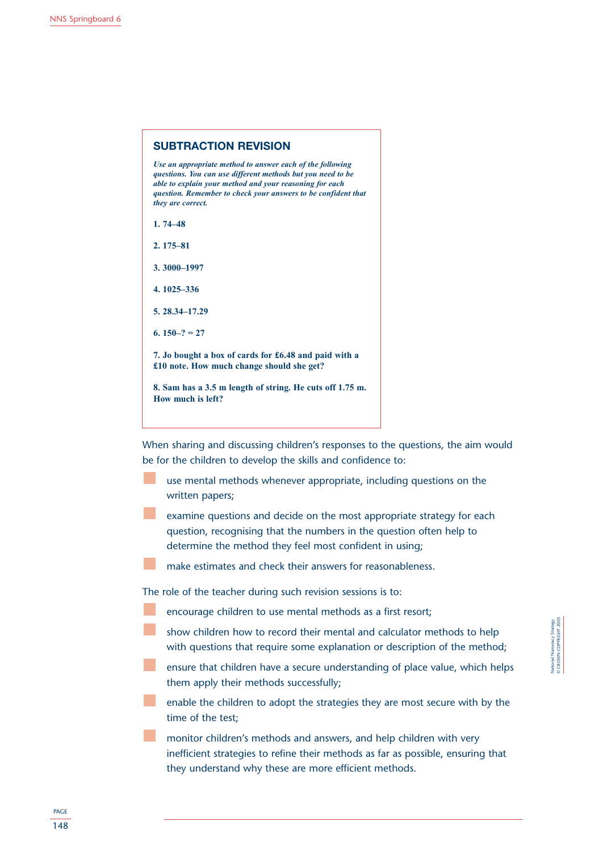## **SUBTRACTION REVISION**

*Use an appropriate method to answer each of the following questions. You can use different methods but you need to be able to explain your method and your reasoning for each question. Remember to check your answers to be confident that they are correct.*

**1. 74–48**

**2. 175–81**

**3. 3000–1997**

**4. 1025–336**

**5. 28.34–17.29**

**6. 150–? = 27**

**7. Jo bought a box of cards for £6.48 and paid with a £10 note. How much change should she get?**

**8. Sam has a 3.5 m length of string. He cuts off 1.75 m. How much is left?**

When sharing and discussing children's responses to the questions, the aim would be for the children to develop the skills and confidence to:

- use mental methods whenever appropriate, including questions on the written papers;
- examine questions and decide on the most appropriate strategy for each question, recognising that the numbers in the question often help to determine the method they feel most confident in using;
- make estimates and check their answers for reasonableness.

The role of the teacher during such revision sessions is to:

- encourage children to use mental methods as a first resort;
- show children how to record their mental and calculator methods to help with questions that require some explanation or description of the method;
- ensure that children have a secure understanding of place value, which helps them apply their methods successfully;
- enable the children to adopt the strategies they are most secure with by the time of the test;
- monitor children's methods and answers, and help children with very inefficient strategies to refine their methods as far as possible, ensuring that they understand why these are more efficient methods.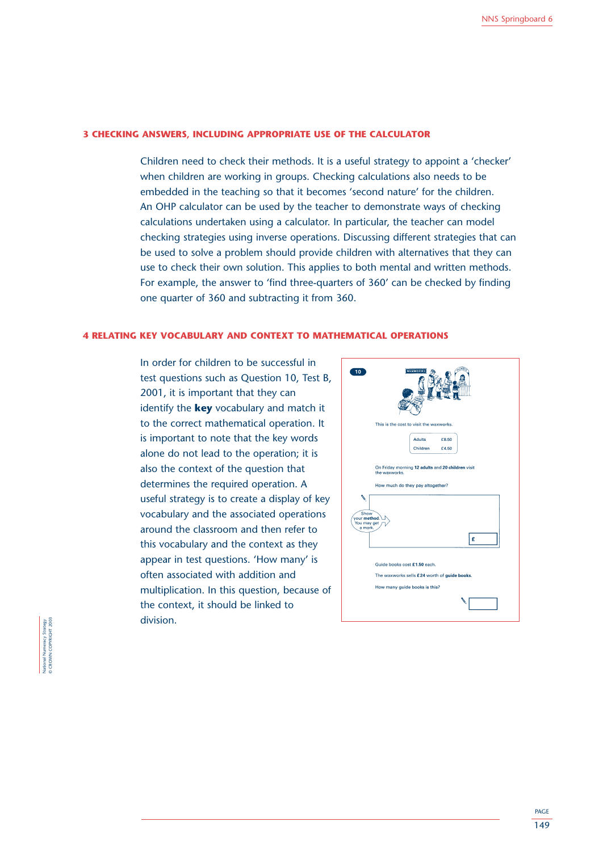## **3 CHECKING ANSWERS, INCLUDING APPROPRIATE USE OF THE CALCULATOR**

Children need to check their methods. It is a useful strategy to appoint a 'checker' when children are working in groups. Checking calculations also needs to be embedded in the teaching so that it becomes 'second nature' for the children. An OHP calculator can be used by the teacher to demonstrate ways of checking calculations undertaken using a calculator. In particular, the teacher can model checking strategies using inverse operations. Discussing different strategies that can be used to solve a problem should provide children with alternatives that they can use to check their own solution. This applies to both mental and written methods. For example, the answer to 'find three-quarters of 360' can be checked by finding one quarter of 360 and subtracting it from 360.

#### **4 RELATING KEY VOCABULARY AND CONTEXT TO MATHEMATICAL OPERATIONS**

In order for children to be successful in test questions such as Question 10, Test B, 2001, it is important that they can identify the **key** vocabulary and match it to the correct mathematical operation. It is important to note that the key words alone do not lead to the operation; it is also the context of the question that determines the required operation. A useful strategy is to create a display of key vocabulary and the associated operations around the classroom and then refer to this vocabulary and the context as they appear in test questions. 'How many' is often associated with addition and multiplication. In this question, because of the context, it should be linked to division.

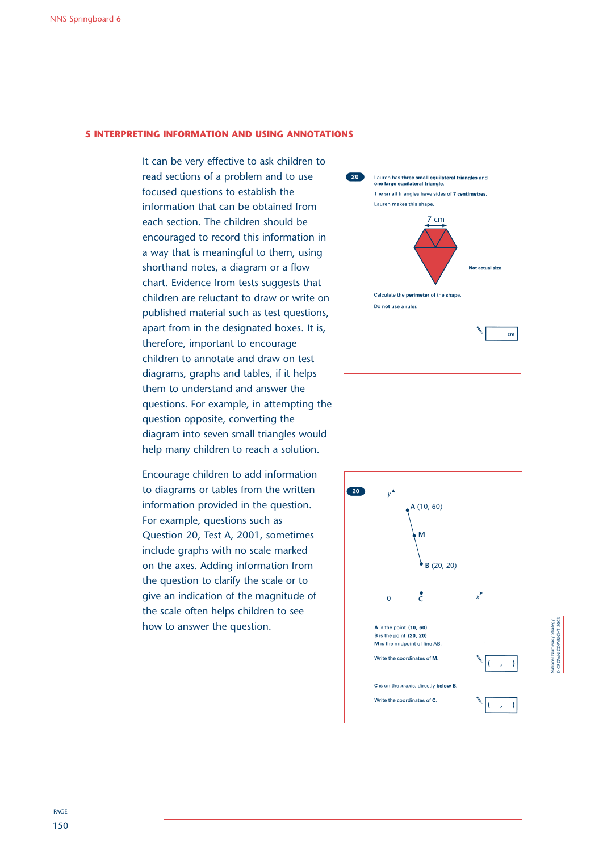#### **5 INTERPRETING INFORMATION AND USING ANNOTATIONS**

It can be very effective to ask children to read sections of a problem and to use focused questions to establish the information that can be obtained from each section. The children should be encouraged to record this information in a way that is meaningful to them, using shorthand notes, a diagram or a flow chart. Evidence from tests suggests that children are reluctant to draw or write on published material such as test questions, apart from in the designated boxes. It is, therefore, important to encourage children to annotate and draw on test diagrams, graphs and tables, if it helps them to understand and answer the questions. For example, in attempting the question opposite, converting the diagram into seven small triangles would help many children to reach a solution.

Encourage children to add information to diagrams or tables from the written information provided in the question. For example, questions such as Question 20, Test A, 2001, sometimes include graphs with no scale marked on the axes. Adding information from the question to clarify the scale or to give an indication of the magnitude of the scale often helps children to see how to answer the question.





tional Numeracy Strategy<br>CROWN COPYRIGHT 2003 © CROWN COPYRIGHT 2003 National Numeracy Strategy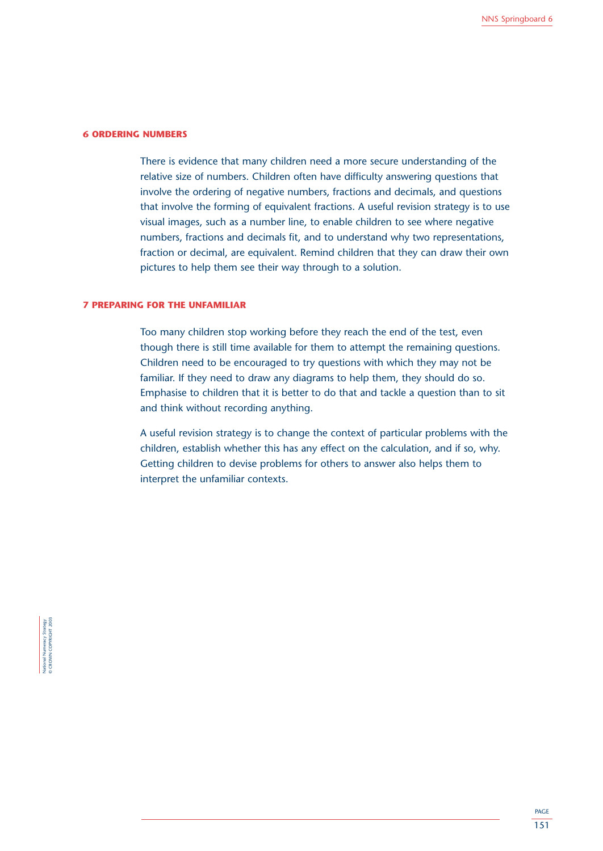#### **6 ORDERING NUMBERS**

There is evidence that many children need a more secure understanding of the relative size of numbers. Children often have difficulty answering questions that involve the ordering of negative numbers, fractions and decimals, and questions that involve the forming of equivalent fractions. A useful revision strategy is to use visual images, such as a number line, to enable children to see where negative numbers, fractions and decimals fit, and to understand why two representations, fraction or decimal, are equivalent. Remind children that they can draw their own pictures to help them see their way through to a solution.

## **7 PREPARING FOR THE UNFAMILIAR**

Too many children stop working before they reach the end of the test, even though there is still time available for them to attempt the remaining questions. Children need to be encouraged to try questions with which they may not be familiar. If they need to draw any diagrams to help them, they should do so. Emphasise to children that it is better to do that and tackle a question than to sit and think without recording anything.

A useful revision strategy is to change the context of particular problems with the children, establish whether this has any effect on the calculation, and if so, why. Getting children to devise problems for others to answer also helps them to interpret the unfamiliar contexts.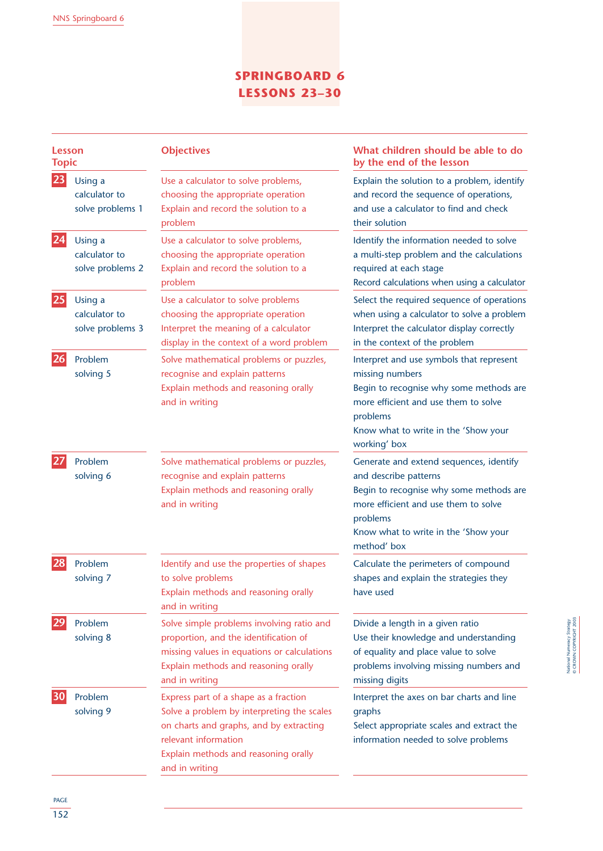## **SPRINGBOARD 6 LESSONS 23–30**

| Lesson<br><b>Topic</b> |                                              | <b>Objectives</b>                                                                                                                                                                                                | What children should be able to do<br>by the end of the lesson                                                                                                                                                         |  |  |  |
|------------------------|----------------------------------------------|------------------------------------------------------------------------------------------------------------------------------------------------------------------------------------------------------------------|------------------------------------------------------------------------------------------------------------------------------------------------------------------------------------------------------------------------|--|--|--|
| 23                     | Using a<br>calculator to<br>solve problems 1 | Use a calculator to solve problems,<br>choosing the appropriate operation<br>Explain and record the solution to a<br>problem                                                                                     | Explain the solution to a problem, identify<br>and record the sequence of operations,<br>and use a calculator to find and check<br>their solution                                                                      |  |  |  |
| 24                     | Using a<br>calculator to<br>solve problems 2 | Use a calculator to solve problems,<br>choosing the appropriate operation<br>Explain and record the solution to a<br>problem                                                                                     | Identify the information needed to solve<br>a multi-step problem and the calculations<br>required at each stage<br>Record calculations when using a calculator                                                         |  |  |  |
| 25                     | Using a<br>calculator to<br>solve problems 3 | Use a calculator to solve problems<br>choosing the appropriate operation<br>Interpret the meaning of a calculator<br>display in the context of a word problem                                                    | Select the required sequence of operations<br>when using a calculator to solve a problem<br>Interpret the calculator display correctly<br>in the context of the problem                                                |  |  |  |
| 26                     | Problem<br>solving 5                         | Solve mathematical problems or puzzles,<br>recognise and explain patterns<br>Explain methods and reasoning orally<br>and in writing                                                                              | Interpret and use symbols that represent<br>missing numbers<br>Begin to recognise why some methods are<br>more efficient and use them to solve<br>problems<br>Know what to write in the 'Show your<br>working' box     |  |  |  |
| 27                     | Problem<br>solving 6                         | Solve mathematical problems or puzzles,<br>recognise and explain patterns<br>Explain methods and reasoning orally<br>and in writing                                                                              | Generate and extend sequences, identify<br>and describe patterns<br>Begin to recognise why some methods are<br>more efficient and use them to solve<br>problems<br>Know what to write in the 'Show your<br>method' box |  |  |  |
| 28                     | Problem<br>solving 7                         | Identify and use the properties of shapes<br>to solve problems<br>Explain methods and reasoning orally<br>and in writing                                                                                         | Calculate the perimeters of compound<br>shapes and explain the strategies they<br>have used                                                                                                                            |  |  |  |
| 29                     | Problem<br>solving 8                         | Solve simple problems involving ratio and<br>proportion, and the identification of<br>missing values in equations or calculations<br>Explain methods and reasoning orally<br>and in writing                      | Divide a length in a given ratio<br>Use their knowledge and understanding<br>of equality and place value to solve<br>problems involving missing numbers and<br>missing digits                                          |  |  |  |
| 30                     | Problem<br>solving 9                         | Express part of a shape as a fraction<br>Solve a problem by interpreting the scales<br>on charts and graphs, and by extracting<br>relevant information<br>Explain methods and reasoning orally<br>and in writing | Interpret the axes on bar charts and line<br>graphs<br>Select appropriate scales and extract the<br>information needed to solve problems                                                                               |  |  |  |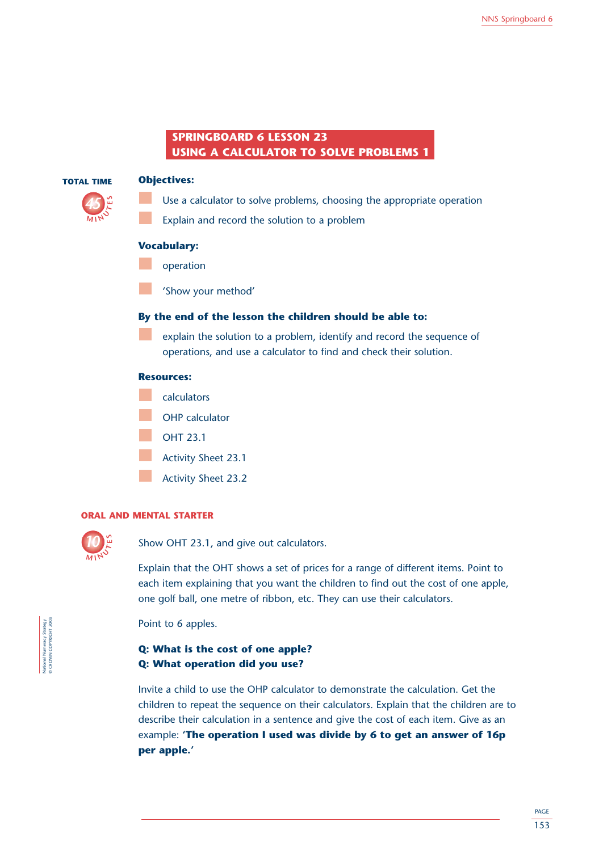## **SPRINGBOARD 6 LESSON 23 USING A CALCULATOR TO SOLVE PROBLEMS 1**

## **Objectives:**



**TOTAL TIME**

Use a calculator to solve problems, choosing the appropriate operation

Explain and record the solution to a problem

## **Vocabulary:**

operation

'Show your method'

## **By the end of the lesson the children should be able to:**

explain the solution to a problem, identify and record the sequence of operations, and use a calculator to find and check their solution.

#### **Resources:**



## **ORAL AND MENTAL STARTER**



Show OHT 23.1, and give out calculators.

Explain that the OHT shows a set of prices for a range of different items. Point to each item explaining that you want the children to find out the cost of one apple, one golf ball, one metre of ribbon, etc. They can use their calculators.

Point to 6 apples.

## **Q: What is the cost of one apple? Q: What operation did you use?**

Invite a child to use the OHP calculator to demonstrate the calculation. Get the children to repeat the sequence on their calculators. Explain that the children are to describe their calculation in a sentence and give the cost of each item. Give as an example: **'The operation I used was divide by 6 to get an answer of 16p per apple.'**

Vational Numeracy Strategy<br>0 CROWN COPYRIGHT 2003 © CROWN COPYRIGHT 2003 National Numeracy Strategy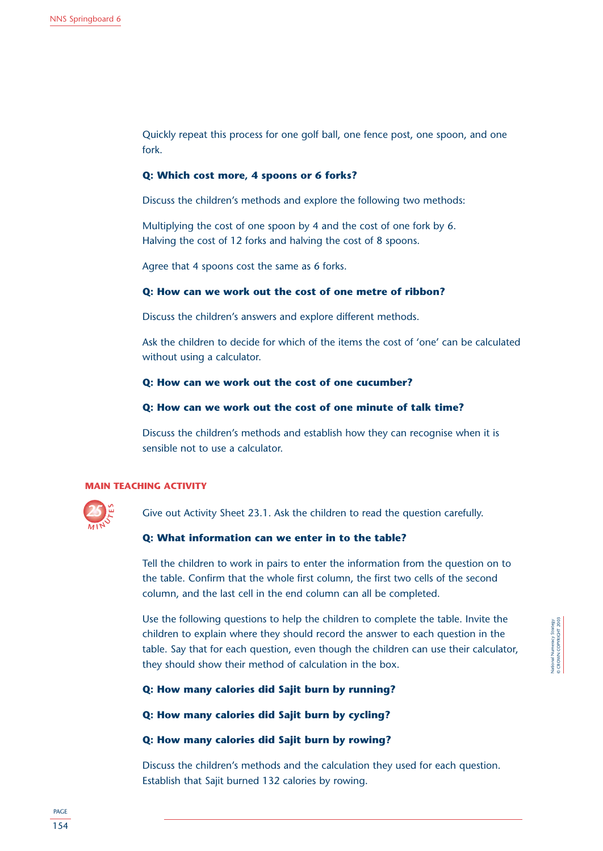Quickly repeat this process for one golf ball, one fence post, one spoon, and one fork.

## **Q: Which cost more, 4 spoons or 6 forks?**

Discuss the children's methods and explore the following two methods:

Multiplying the cost of one spoon by 4 and the cost of one fork by 6. Halving the cost of 12 forks and halving the cost of 8 spoons.

Agree that 4 spoons cost the same as 6 forks.

#### **Q: How can we work out the cost of one metre of ribbon?**

Discuss the children's answers and explore different methods.

Ask the children to decide for which of the items the cost of 'one' can be calculated without using a calculator.

## **Q: How can we work out the cost of one cucumber?**

## **Q: How can we work out the cost of one minute of talk time?**

Discuss the children's methods and establish how they can recognise when it is sensible not to use a calculator.

## **MAIN TEACHING ACTIVITY**



Give out Activity Sheet 23.1. Ask the children to read the question carefully.

## **Q: What information can we enter in to the table?**

Tell the children to work in pairs to enter the information from the question on to the table. Confirm that the whole first column, the first two cells of the second column, and the last cell in the end column can all be completed.

Use the following questions to help the children to complete the table. Invite the children to explain where they should record the answer to each question in the table. Say that for each question, even though the children can use their calculator, they should show their method of calculation in the box.

**Q: How many calories did Sajit burn by running?**

**Q: How many calories did Sajit burn by cycling?**

## **Q: How many calories did Sajit burn by rowing?**

Discuss the children's methods and the calculation they used for each question. Establish that Sajit burned 132 calories by rowing.

**Jational Numeracy Strategy**<br>0 CROWN COPYRIGHT 2003 © CROWN COPYRIGHT 2003 National Numeracy Strategy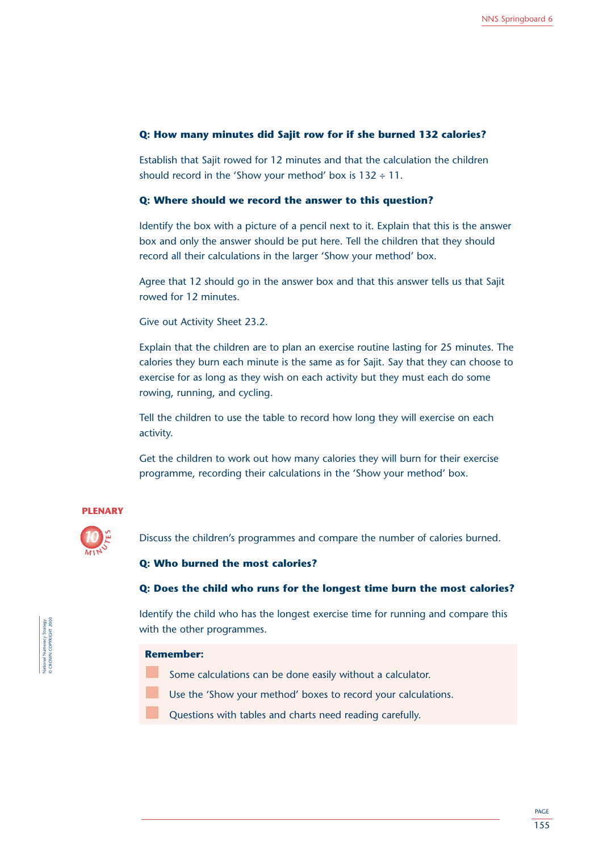## **Q: How many minutes did Sajit row for if she burned 132 calories?**

Establish that Sajit rowed for 12 minutes and that the calculation the children should record in the 'Show your method' box is  $132 \div 11$ .

## **Q: Where should we record the answer to this question?**

Identify the box with a picture of a pencil next to it. Explain that this is the answer box and only the answer should be put here. Tell the children that they should record all their calculations in the larger 'Show your method' box.

Agree that 12 should go in the answer box and that this answer tells us that Sajit rowed for 12 minutes.

Give out Activity Sheet 23.2.

Explain that the children are to plan an exercise routine lasting for 25 minutes. The calories they burn each minute is the same as for Sajit. Say that they can choose to exercise for as long as they wish on each activity but they must each do some rowing, running, and cycling.

Tell the children to use the table to record how long they will exercise on each activity.

Get the children to work out how many calories they will burn for their exercise programme, recording their calculations in the 'Show your method' box.

## **PLENARY**



Discuss the children's programmes and compare the number of calories burned.

**Q: Who burned the most calories?**

## **Q: Does the child who runs for the longest time burn the most calories?**

Identify the child who has the longest exercise time for running and compare this with the other programmes.

#### **Remember:**

- Some calculations can be done easily without a calculator.
	- Use the 'Show your method' boxes to record your calculations.
	- Questions with tables and charts need reading carefully.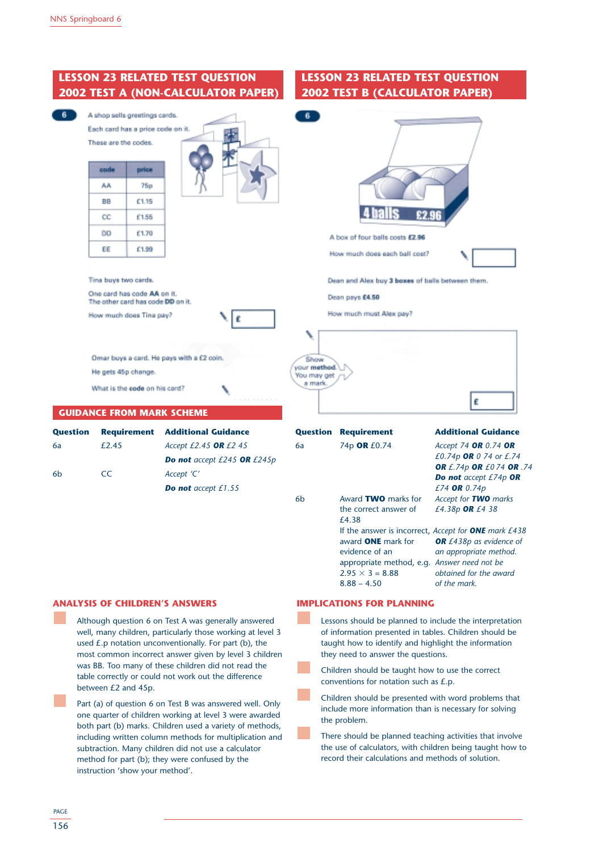

#### **ANALYSIS OF CHILDREN'S ANSWERS**

Although question 6 on Test A was generally answered well, many children, particularly those working at level 3 used £.p notation unconventionally. For part (b), the most common incorrect answer given by level 3 children was BB. Too many of these children did not read the table correctly or could not work out the difference between £2 and 45p.

Part (a) of question 6 on Test B was answered well. Only one quarter of children working at level 3 were awarded both part (b) marks. Children used a variety of methods, including written column methods for multiplication and subtraction. Many children did not use a calculator method for part (b); they were confused by the instruction 'show your method'.

## **IMPLICATIONS FOR PLANNING**

- Lessons should be planned to include the interpretation of information presented in tables. Children should be taught how to identify and highlight the information they need to answer the questions.
	- Children should be taught how to use the correct conventions for notation such as  $E$ .p.
- Children should be presented with word problems that include more information than is necessary for solving the problem.
- There should be planned teaching activities that involve the use of calculators, with children being taught how to record their calculations and methods of solution.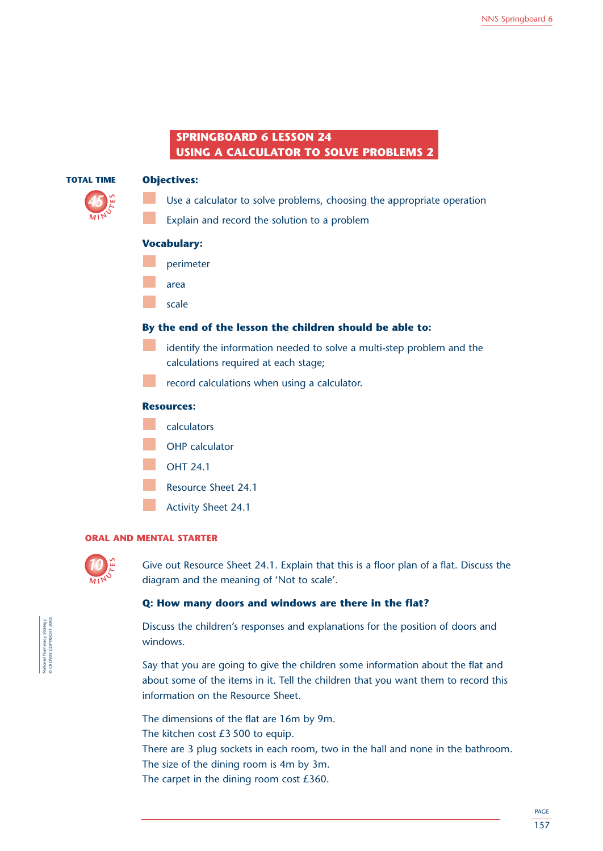## **SPRINGBOARD 6 LESSON 24 USING A CALCULATOR TO SOLVE PROBLEMS 2**

## **Objectives:**



**TOTAL TIME**

- Use a calculator to solve problems, choosing the appropriate operation
- Explain and record the solution to a problem

## **Vocabulary:**

- perimeter
- area
- scale

## **By the end of the lesson the children should be able to:**

- identify the information needed to solve a multi-step problem and the calculations required at each stage;
- record calculations when using a calculator.

## **Resources:**

- calculators
- OHP calculator
- OHT 24.1
- Resource Sheet 24.1
	- Activity Sheet 24.1

## **ORAL AND MENTAL STARTER**



Give out Resource Sheet 24.1. Explain that this is a floor plan of a flat. Discuss the diagram and the meaning of 'Not to scale'.

## **Q: How many doors and windows are there in the flat?**

Discuss the children's responses and explanations for the position of doors and windows.

Say that you are going to give the children some information about the flat and about some of the items in it. Tell the children that you want them to record this information on the Resource Sheet.

The dimensions of the flat are 16m by 9m. The kitchen cost £3 500 to equip. There are 3 plug sockets in each room, two in the hall and none in the bathroom. The size of the dining room is 4m by 3m. The carpet in the dining room cost £360.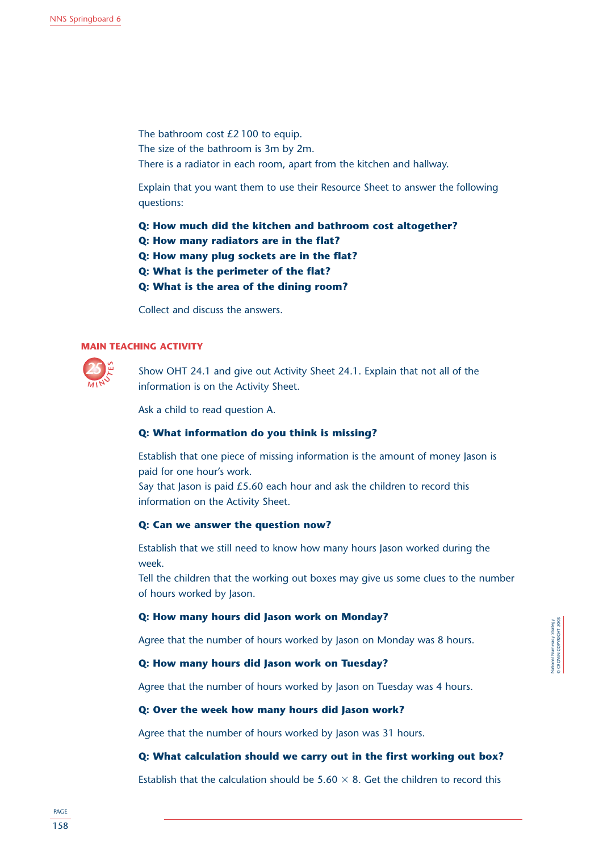The bathroom cost £2 100 to equip. The size of the bathroom is 3m by 2m. There is a radiator in each room, apart from the kitchen and hallway.

Explain that you want them to use their Resource Sheet to answer the following questions:

**Q: How much did the kitchen and bathroom cost altogether?**

- **Q: How many radiators are in the flat?**
- **Q: How many plug sockets are in the flat?**
- **Q: What is the perimeter of the flat?**
- **Q: What is the area of the dining room?**

Collect and discuss the answers.

## **MAIN TEACHING ACTIVITY**



Show OHT 24.1 and give out Activity Sheet 24.1. Explain that not all of the information is on the Activity Sheet.

Ask a child to read question A.

## **Q: What information do you think is missing?**

Establish that one piece of missing information is the amount of money Jason is paid for one hour's work.

Say that Jason is paid £5.60 each hour and ask the children to record this information on the Activity Sheet.

## **Q: Can we answer the question now?**

Establish that we still need to know how many hours Jason worked during the week.

Tell the children that the working out boxes may give us some clues to the number of hours worked by Jason.

## **Q: How many hours did Jason work on Monday?**

Agree that the number of hours worked by Jason on Monday was 8 hours.

## **Q: How many hours did Jason work on Tuesday?**

Agree that the number of hours worked by Jason on Tuesday was 4 hours.

## **Q: Over the week how many hours did Jason work?**

Agree that the number of hours worked by Jason was 31 hours.

## **Q: What calculation should we carry out in the first working out box?**

Establish that the calculation should be 5.60  $\times$  8. Get the children to record this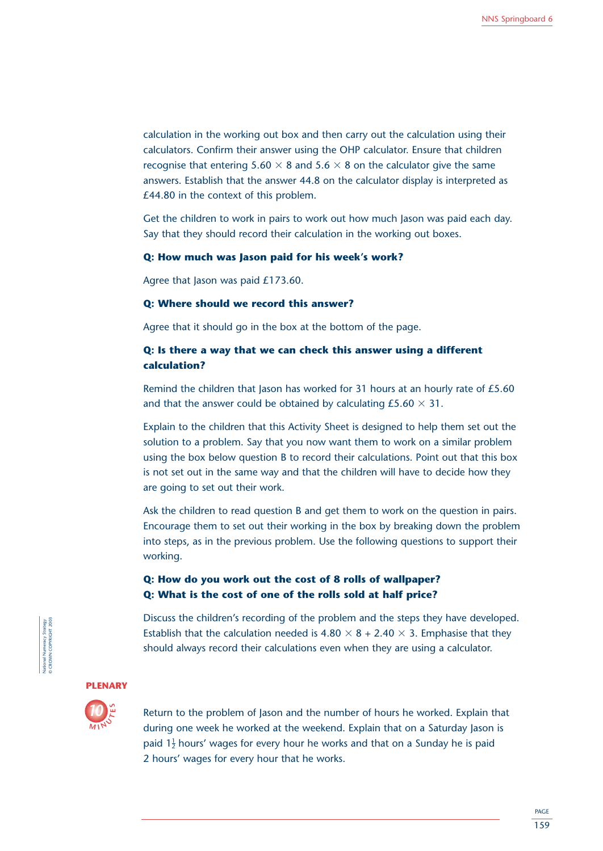calculation in the working out box and then carry out the calculation using their calculators. Confirm their answer using the OHP calculator. Ensure that children recognise that entering 5.60  $\times$  8 and 5.6  $\times$  8 on the calculator give the same answers. Establish that the answer 44.8 on the calculator display is interpreted as £44.80 in the context of this problem.

Get the children to work in pairs to work out how much Jason was paid each day. Say that they should record their calculation in the working out boxes.

#### **Q: How much was Jason paid for his week's work?**

Agree that Jason was paid £173.60.

## **Q: Where should we record this answer?**

Agree that it should go in the box at the bottom of the page.

## **Q: Is there a way that we can check this answer using a different calculation?**

Remind the children that Jason has worked for 31 hours at an hourly rate of  $£5.60$ and that the answer could be obtained by calculating £5.60  $\times$  31.

Explain to the children that this Activity Sheet is designed to help them set out the solution to a problem. Say that you now want them to work on a similar problem using the box below question B to record their calculations. Point out that this box is not set out in the same way and that the children will have to decide how they are going to set out their work.

Ask the children to read question B and get them to work on the question in pairs. Encourage them to set out their working in the box by breaking down the problem into steps, as in the previous problem. Use the following questions to support their working.

## **Q: How do you work out the cost of 8 rolls of wallpaper? Q: What is the cost of one of the rolls sold at half price?**

Discuss the children's recording of the problem and the steps they have developed. Establish that the calculation needed is 4.80  $\times$  8 + 2.40  $\times$  3. Emphasise that they should always record their calculations even when they are using a calculator.

## **PLENARY**



Return to the problem of Jason and the number of hours he worked. Explain that during one week he worked at the weekend. Explain that on a Saturday Jason is paid  $1\frac{1}{2}$  hours' wages for every hour he works and that on a Sunday he is paid 2 hours' wages for every hour that he works.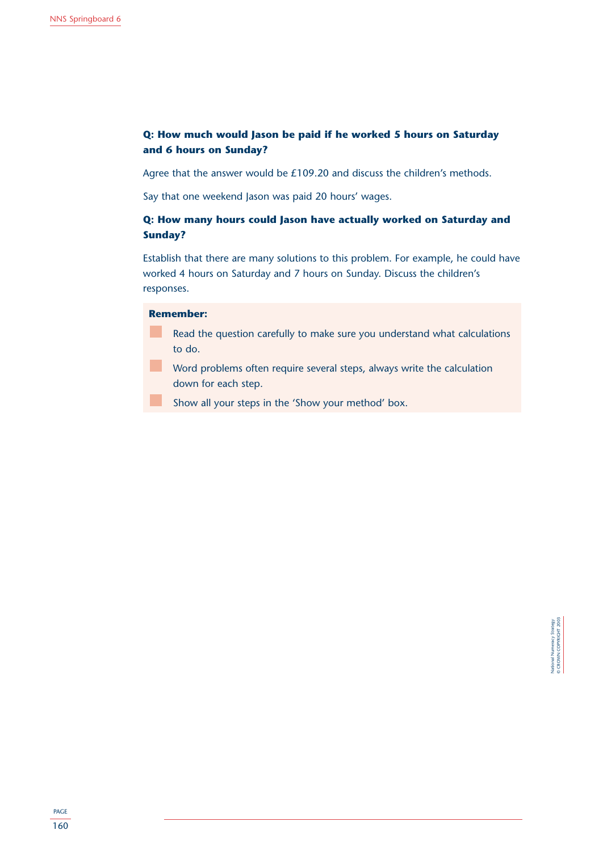## **Q: How much would Jason be paid if he worked 5 hours on Saturday and 6 hours on Sunday?**

Agree that the answer would be £109.20 and discuss the children's methods.

Say that one weekend Jason was paid 20 hours' wages.

## **Q: How many hours could Jason have actually worked on Saturday and Sunday?**

Establish that there are many solutions to this problem. For example, he could have worked 4 hours on Saturday and 7 hours on Sunday. Discuss the children's responses.

## **Remember:**

- Read the question carefully to make sure you understand what calculations to do.
- Word problems often require several steps, always write the calculation down for each step.
- Show all your steps in the 'Show your method' box.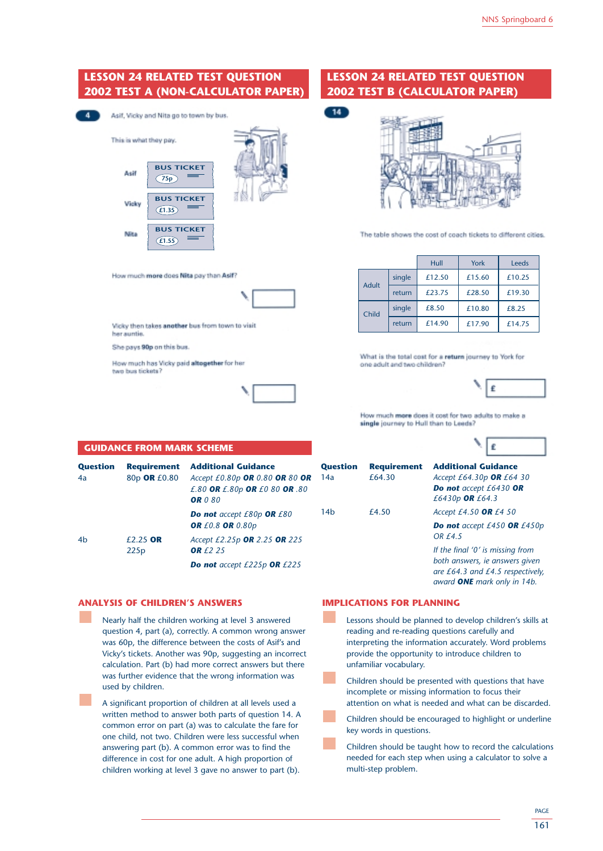## **LESSON 24 RELATED TEST QUESTION 2002 TEST A (NON-CALCULATOR PAPER)**  $\overline{14}$ Asif, Vicky and Nita go to town by bus. This is what they pay. **BUS TICKET** Asif **75p BUS TICKET** Vielvy **£1.35 BUS TICKET** Nita **£1.55** How much more does Nita pay than Asif? Vicky then takes another bus from town to visit her auntie She pays 90p on this bus. How much has Vicky paid altogether for her two bus tickets?

## **LESSON 24 RELATED TEST QUESTION 2002 TEST B (CALCULATOR PAPER)**



The table shows the cost of coach tickets to different cities.

|  |              |        | Hull   | York   | Leeds  |
|--|--------------|--------|--------|--------|--------|
|  | <b>Adult</b> | single | £12.50 | £15.60 | £10.25 |
|  |              | return | £23.75 | £28.50 | £19.30 |
|  | Child        | single | £8.50  | £10.80 | £8.25  |
|  |              | return | £14.90 | £17.90 | £14.75 |

What is the total cost for a return journey to York for one adult and two children?



How much more does it cost for two adults to make a single journey to Hull than to Leeds?



*award ONE mark only in 14b.*

#### **GUIDANCE FROM MARK SCHEME**

| <b>Question</b><br>4a | <b>Requirement</b><br>80p OR £0.80 | <b>Additional Guidance</b><br>Accept £0.80p OR 0.80 OR 80 OR<br>£.80 OR £.80p OR £0 80 OR .80<br><b>OR</b> 0 80 | <b>Requirement</b><br><b>Question</b><br>£64.30<br>14a |       | <b>Additional Guidance</b><br>Accept £64.30p OR £64 30<br><b>Do not</b> accept £6430 OR<br>£6430p OR £64.3 |
|-----------------------|------------------------------------|-----------------------------------------------------------------------------------------------------------------|--------------------------------------------------------|-------|------------------------------------------------------------------------------------------------------------|
|                       |                                    | <b>Do not</b> accept £80p OR £80                                                                                | 14 <sub>b</sub>                                        | £4.50 | Accept £4.50 OR £4 50                                                                                      |
|                       |                                    | <b>OR</b> £0.8 <b>OR</b> 0.80p                                                                                  |                                                        |       | <b>Do not</b> accept £450 OR £450p                                                                         |
| 4 <sub>b</sub>        | £2.25 OR                           | Accept £2.25p OR 2.25 OR 225                                                                                    |                                                        |       | OR £4.5                                                                                                    |
|                       | 225p                               | <b>OR</b> £2 25                                                                                                 |                                                        |       | If the final '0' is missing from                                                                           |
|                       |                                    | <b>Do not</b> accept £225p OR £225                                                                              |                                                        |       | both answers, ie answers given<br>are £64.3 and £4.5 respectively,                                         |

## **ANALYSIS OF CHILDREN'S ANSWERS**

Nearly half the children working at level 3 answered question 4, part (a), correctly. A common wrong answer was 60p, the difference between the costs of Asif's and Vicky's tickets. Another was 90p, suggesting an incorrect calculation. Part (b) had more correct answers but there was further evidence that the wrong information was used by children.

A significant proportion of children at all levels used a written method to answer both parts of question 14. A common error on part (a) was to calculate the fare for one child, not two. Children were less successful when answering part (b). A common error was to find the difference in cost for one adult. A high proportion of children working at level 3 gave no answer to part (b).

#### **IMPLICATIONS FOR PLANNING**

Lessons should be planned to develop children's skills at reading and re-reading questions carefully and interpreting the information accurately. Word problems provide the opportunity to introduce children to unfamiliar vocabulary.

Children should be presented with questions that have incomplete or missing information to focus their attention on what is needed and what can be discarded.

Children should be encouraged to highlight or underline key words in questions.

Children should be taught how to record the calculations needed for each step when using a calculator to solve a multi-step problem.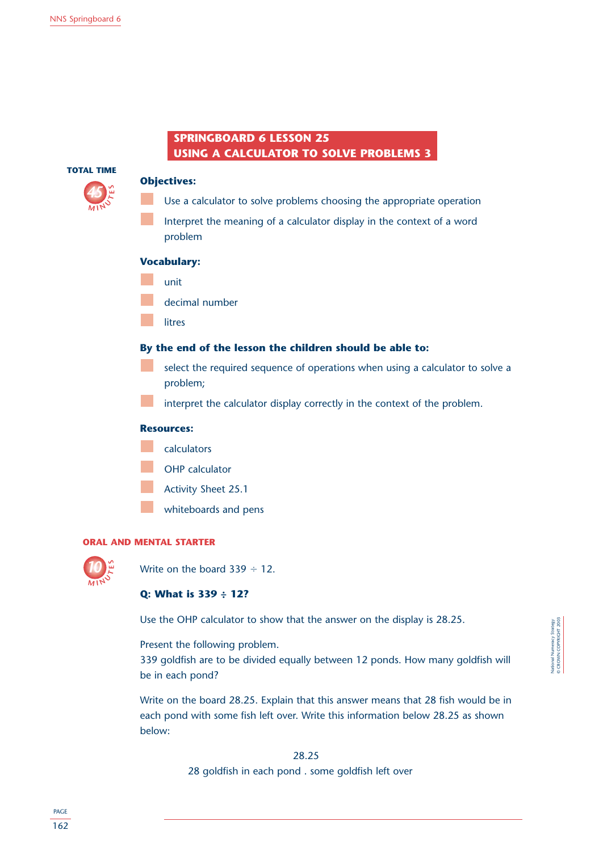## **SPRINGBOARD 6 LESSON 25 USING A CALCULATOR TO SOLVE PROBLEMS 3**



*45*  $\frac{45}{100}$ 

#### **Objectives:**

- Use a calculator to solve problems choosing the appropriate operation
- Interpret the meaning of a calculator display in the context of a word problem

## **Vocabulary:**

- unit
- decimal number
- litres

## **By the end of the lesson the children should be able to:**

- select the required sequence of operations when using a calculator to solve a problem;
- interpret the calculator display correctly in the context of the problem.

## **Resources:**



#### **ORAL AND MENTAL STARTER**



Write on the board  $339 \div 12$ .

## **Q: What is 339 ÷ 12?**

Use the OHP calculator to show that the answer on the display is 28.25.

Present the following problem.

339 goldfish are to be divided equally between 12 ponds. How many goldfish will be in each pond?

Write on the board 28.25. Explain that this answer means that 28 fish would be in each pond with some fish left over. Write this information below 28.25 as shown below:

> 28.25 28 goldfish in each pond . some goldfish left over

Jational Numeracy Strategy<br>0 CROWN COPYRIGHT 2003 © CROWN COPYRIGHT 2003 National Numeracy Strategy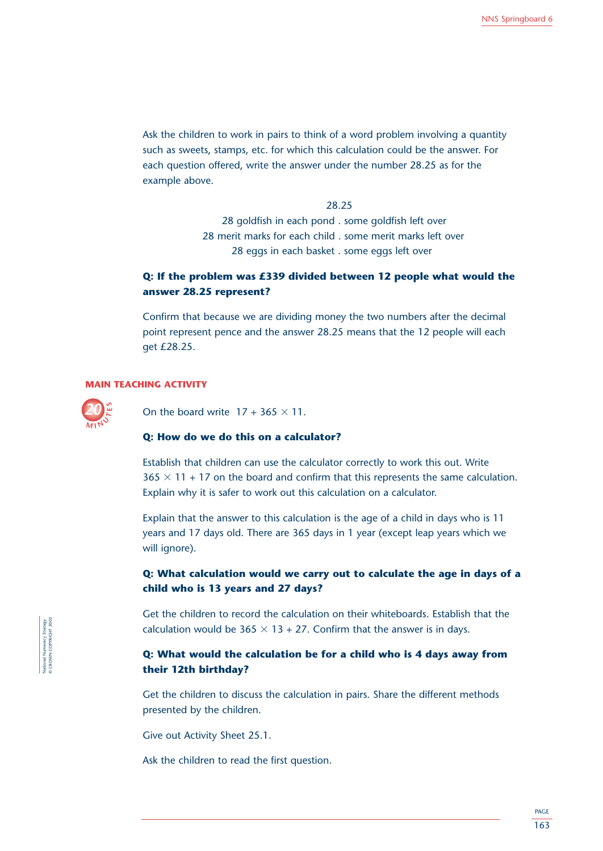Ask the children to work in pairs to think of a word problem involving a quantity such as sweets, stamps, etc. for which this calculation could be the answer. For each question offered, write the answer under the number 28.25 as for the example above.

## 28.25

28 goldfish in each pond . some goldfish left over 28 merit marks for each child . some merit marks left over 28 eggs in each basket . some eggs left over

## **Q: If the problem was £339 divided between 12 people what would the answer 28.25 represent?**

Confirm that because we are dividing money the two numbers after the decimal point represent pence and the answer 28.25 means that the 12 people will each get £28.25.

## **MAIN TEACHING ACTIVITY**



On the board write  $17 + 365 \times 11$ .

## **Q: How do we do this on a calculator?**

Establish that children can use the calculator correctly to work this out. Write  $365 \times 11 + 17$  on the board and confirm that this represents the same calculation. Explain why it is safer to work out this calculation on a calculator.

Explain that the answer to this calculation is the age of a child in days who is 11 years and 17 days old. There are 365 days in 1 year (except leap years which we will ignore).

**Q: What calculation would we carry out to calculate the age in days of a child who is 13 years and 27 days?**

Get the children to record the calculation on their whiteboards. Establish that the calculation would be  $365 \times 13 + 27$ . Confirm that the answer is in days.

## **Q: What would the calculation be for a child who is 4 days away from their 12th birthday?**

Get the children to discuss the calculation in pairs. Share the different methods presented by the children.

Give out Activity Sheet 25.1.

Ask the children to read the first question.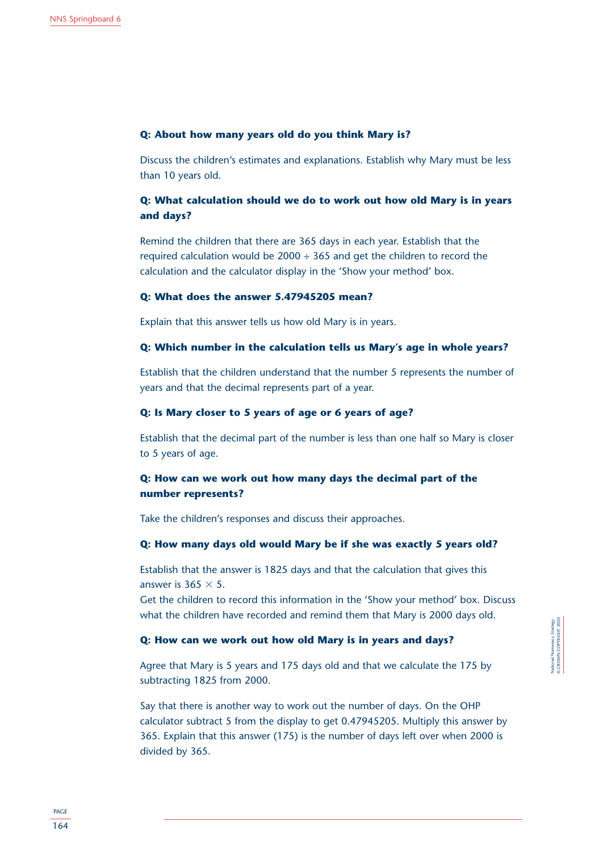## **Q: About how many years old do you think Mary is?**

Discuss the children's estimates and explanations. Establish why Mary must be less than 10 years old.

## **Q: What calculation should we do to work out how old Mary is in years and days?**

Remind the children that there are 365 days in each year. Establish that the required calculation would be 2000  $\div$  365 and get the children to record the calculation and the calculator display in the 'Show your method' box.

#### **Q: What does the answer 5.47945205 mean?**

Explain that this answer tells us how old Mary is in years.

## **Q: Which number in the calculation tells us Mary's age in whole years?**

Establish that the children understand that the number 5 represents the number of years and that the decimal represents part of a year.

## **Q: Is Mary closer to 5 years of age or 6 years of age?**

Establish that the decimal part of the number is less than one half so Mary is closer to 5 years of age.

## **Q: How can we work out how many days the decimal part of the number represents?**

Take the children's responses and discuss their approaches.

#### **Q: How many days old would Mary be if she was exactly 5 years old?**

Establish that the answer is 1825 days and that the calculation that gives this answer is 365  $\times$  5.

Get the children to record this information in the 'Show your method' box. Discuss what the children have recorded and remind them that Mary is 2000 days old.

#### **Q: How can we work out how old Mary is in years and days?**

Agree that Mary is 5 years and 175 days old and that we calculate the 175 by subtracting 1825 from 2000.

Say that there is another way to work out the number of days. On the OHP calculator subtract 5 from the display to get 0.47945205. Multiply this answer by 365. Explain that this answer (175) is the number of days left over when 2000 is divided by 365.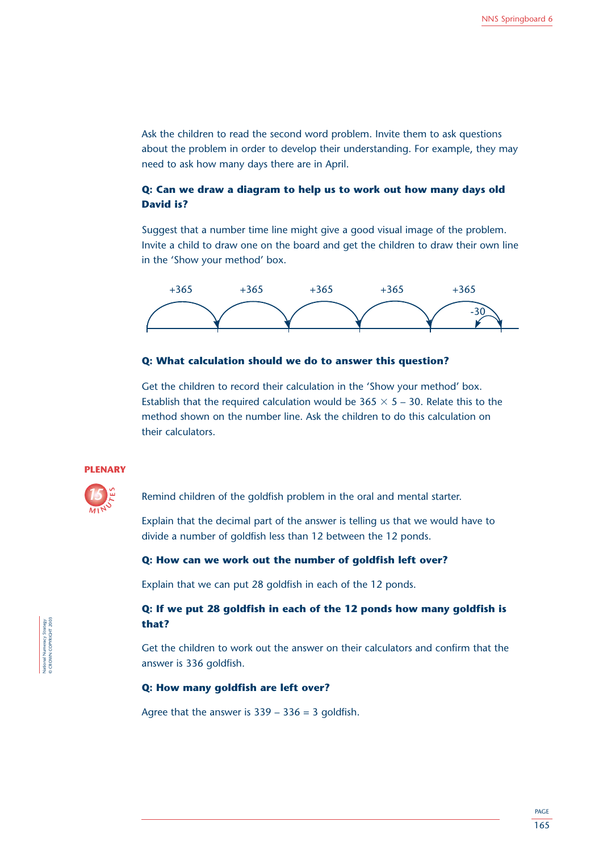Ask the children to read the second word problem. Invite them to ask questions about the problem in order to develop their understanding. For example, they may need to ask how many days there are in April.

## **Q: Can we draw a diagram to help us to work out how many days old David is?**

Suggest that a number time line might give a good visual image of the problem. Invite a child to draw one on the board and get the children to draw their own line in the 'Show your method' box.



## **Q: What calculation should we do to answer this question?**

Get the children to record their calculation in the 'Show your method' box. Establish that the required calculation would be  $365 \times 5$  – 30. Relate this to the method shown on the number line. Ask the children to do this calculation on their calculators.

## **PLENARY**



Remind children of the goldfish problem in the oral and mental starter.

Explain that the decimal part of the answer is telling us that we would have to divide a number of goldfish less than 12 between the 12 ponds.

## **Q: How can we work out the number of goldfish left over?**

Explain that we can put 28 goldfish in each of the 12 ponds.

## **Q: If we put 28 goldfish in each of the 12 ponds how many goldfish is that?**

Get the children to work out the answer on their calculators and confirm that the answer is 336 goldfish.

## **Q: How many goldfish are left over?**

Agree that the answer is  $339 - 336 = 3$  goldfish.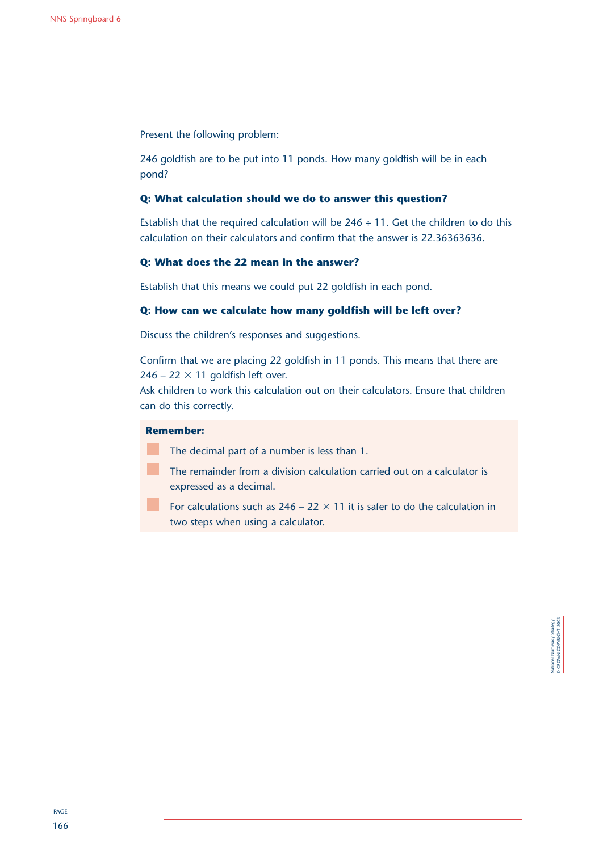Present the following problem:

246 goldfish are to be put into 11 ponds. How many goldfish will be in each pond?

## **Q: What calculation should we do to answer this question?**

Establish that the required calculation will be  $246 \div 11$ . Get the children to do this calculation on their calculators and confirm that the answer is 22.36363636.

## **Q: What does the 22 mean in the answer?**

Establish that this means we could put 22 goldfish in each pond.

## **Q: How can we calculate how many goldfish will be left over?**

Discuss the children's responses and suggestions.

Confirm that we are placing 22 goldfish in 11 ponds. This means that there are 246 – 22  $\times$  11 goldfish left over.

Ask children to work this calculation out on their calculators. Ensure that children can do this correctly.

## **Remember:**

The decimal part of a number is less than 1.

- The remainder from a division calculation carried out on a calculator is expressed as a decimal.
- For calculations such as  $246 22 \times 11$  it is safer to do the calculation in two steps when using a calculator.

PAGE 166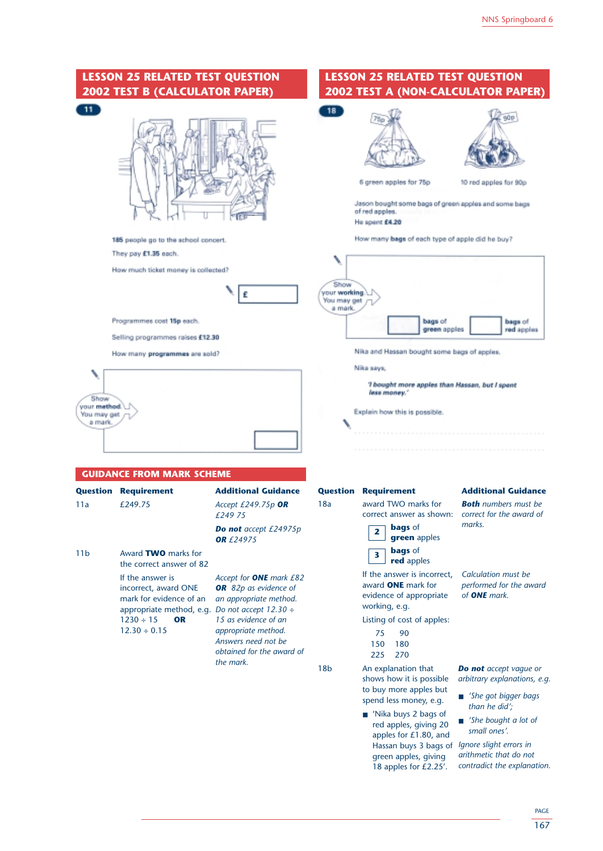

■ *'She bought a lot of small ones'.*

apples for £1.80, and Hassan buys 3 bags of green apples, giving 18 apples for £2.25'.

*Ignore slight errors in arithmetic that do not contradict the explanation.*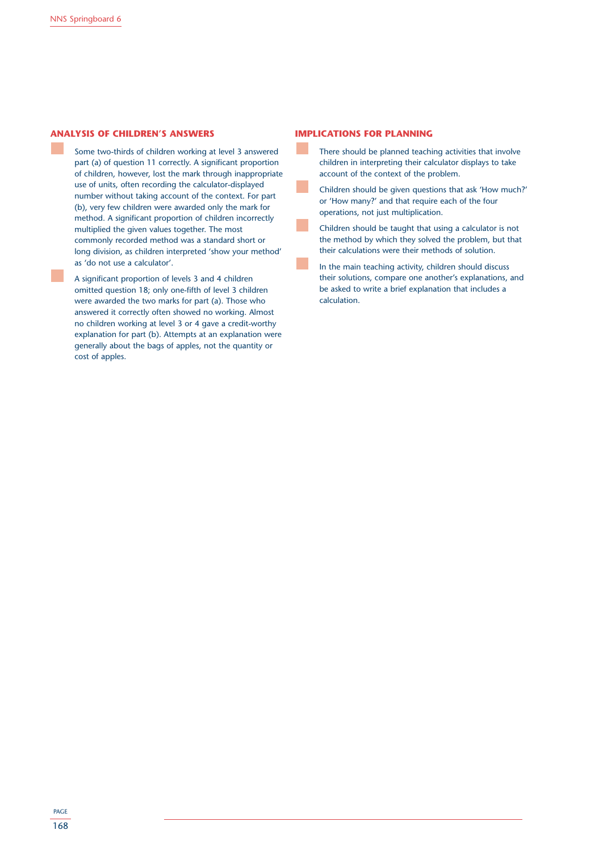## **ANALYSIS OF CHILDREN'S ANSWERS**

Some two-thirds of children working at level 3 answered part (a) of question 11 correctly. A significant proportion of children, however, lost the mark through inappropriate use of units, often recording the calculator-displayed number without taking account of the context. For part (b), very few children were awarded only the mark for method. A significant proportion of children incorrectly multiplied the given values together. The most commonly recorded method was a standard short or long division, as children interpreted 'show your method' as 'do not use a calculator'.

A significant proportion of levels 3 and 4 children omitted question 18; only one-fifth of level 3 children were awarded the two marks for part (a). Those who answered it correctly often showed no working. Almost no children working at level 3 or 4 gave a credit-worthy explanation for part (b). Attempts at an explanation were generally about the bags of apples, not the quantity or cost of apples.

#### **IMPLICATIONS FOR PLANNING**

There should be planned teaching activities that involve children in interpreting their calculator displays to take account of the context of the problem.

Children should be given questions that ask 'How much?' or 'How many?' and that require each of the four operations, not just multiplication.

Children should be taught that using a calculator is not the method by which they solved the problem, but that their calculations were their methods of solution.

In the main teaching activity, children should discuss their solutions, compare one another's explanations, and be asked to write a brief explanation that includes a calculation.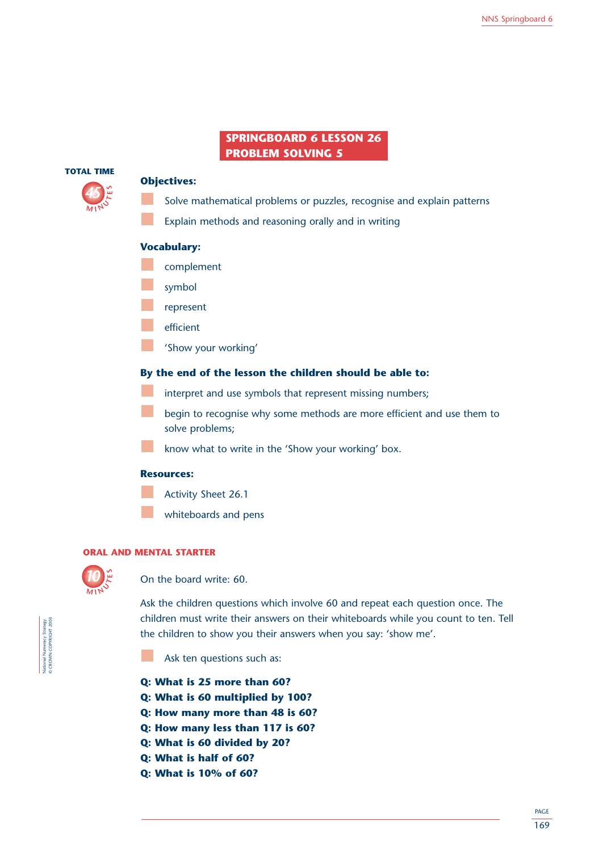## **SPRINGBOARD 6 LESSON 26 PROBLEM SOLVING 5**

## **TOTAL TIME**

*45*  $\frac{45}{100}$ 

#### **Objectives:**

- Solve mathematical problems or puzzles, recognise and explain patterns
- Explain methods and reasoning orally and in writing

## **Vocabulary:**

- complement
- symbol
- represent
- efficient
- 'Show your working'

## **By the end of the lesson the children should be able to:**

- interpret and use symbols that represent missing numbers;
- begin to recognise why some methods are more efficient and use them to solve problems:
- know what to write in the 'Show your working' box.

#### **Resources:**

- Activity Sheet 26.1
- whiteboards and pens

## **ORAL AND MENTAL STARTER**



On the board write: 60.

Ask the children questions which involve 60 and repeat each question once. The children must write their answers on their whiteboards while you count to ten. Tell the children to show you their answers when you say: 'show me'.

Ask ten questions such as:

- **Q: What is 25 more than 60?**
- **Q: What is 60 multiplied by 100?**
- **Q: How many more than 48 is 60?**
- **Q: How many less than 117 is 60?**
- **Q: What is 60 divided by 20?**
- **Q: What is half of 60?**
- **Q: What is 10% of 60?**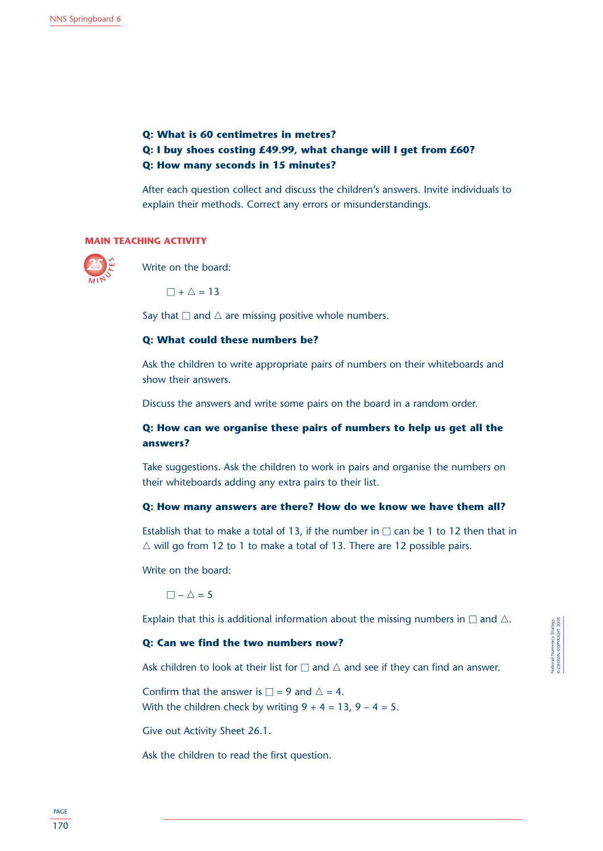## **Q: What is 60 centimetres in metres? Q: I buy shoes costing £49.99, what change will I get from £60? Q: How many seconds in 15 minutes?**

After each question collect and discuss the children's answers. Invite individuals to explain their methods. Correct any errors or misunderstandings.

## **MAIN TEACHING ACTIVITY**



Write on the board:

 $\Box$  +  $\triangle$  = 13

Say that  $\Box$  and  $\triangle$  are missing positive whole numbers.

## **Q: What could these numbers be?**

Ask the children to write appropriate pairs of numbers on their whiteboards and show their answers.

Discuss the answers and write some pairs on the board in a random order.

## **Q: How can we organise these pairs of numbers to help us get all the answers?**

Take suggestions. Ask the children to work in pairs and organise the numbers on their whiteboards adding any extra pairs to their list.

## **Q: How many answers are there? How do we know we have them all?**

Establish that to make a total of 13, if the number in  $\Box$  can be 1 to 12 then that in  $\triangle$  will go from 12 to 1 to make a total of 13. There are 12 possible pairs.

Write on the board:

 $\Box$  –  $\triangle$  = 5

Explain that this is additional information about the missing numbers in  $\Box$  and  $\triangle$ .

## **Q: Can we find the two numbers now?**

Ask children to look at their list for  $\Box$  and  $\vartriangle$  and see if they can find an answer.

Confirm that the answer is  $\square$  = 9 and  $\triangle$  = 4. With the children check by writing  $9 + 4 = 13$ ,  $9 - 4 = 5$ .

Give out Activity Sheet 26.1.

Ask the children to read the first question.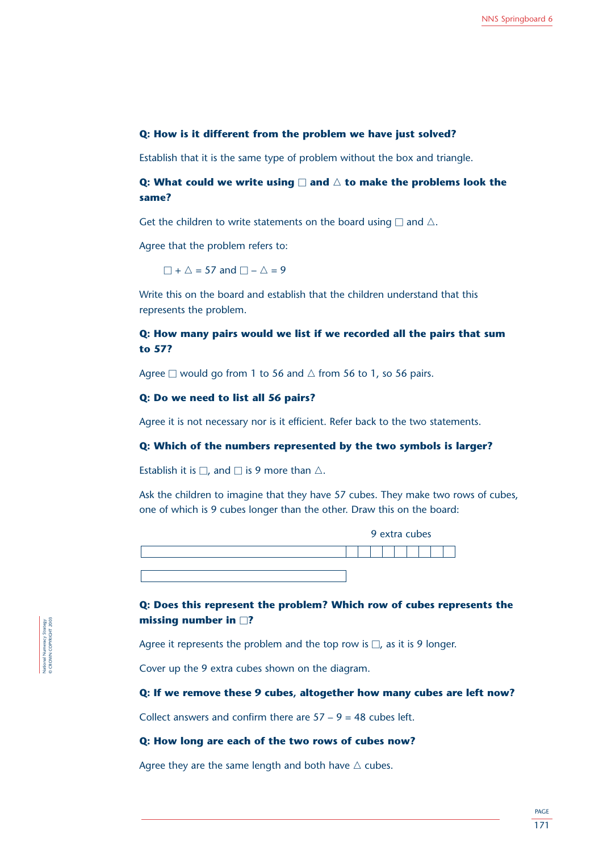## **Q: How is it different from the problem we have just solved?**

Establish that it is the same type of problem without the box and triangle.

## Q: What could we write using  $\Box$  and  $\vartriangle$  to make the problems look the **same?**

Get the children to write statements on the board using  $\Box$  and  $\triangle$ .

Agree that the problem refers to:

 $\Box$  +  $\triangle$  = 57 and  $\Box$  -  $\triangle$  = 9

Write this on the board and establish that the children understand that this represents the problem.

## **Q: How many pairs would we list if we recorded all the pairs that sum to 57?**

Agree  $\Box$  would go from 1 to 56 and  $\vartriangle$  from 56 to 1, so 56 pairs.

## **Q: Do we need to list all 56 pairs?**

Agree it is not necessary nor is it efficient. Refer back to the two statements.

## **Q: Which of the numbers represented by the two symbols is larger?**

Establish it is  $\Box$ , and  $\Box$  is 9 more than  $\triangle$ .

Ask the children to imagine that they have 57 cubes. They make two rows of cubes, one of which is 9 cubes longer than the other. Draw this on the board:

| 9 extra cubes |  |  |  |  |  |  |
|---------------|--|--|--|--|--|--|
|               |  |  |  |  |  |  |
|               |  |  |  |  |  |  |
|               |  |  |  |  |  |  |

## **Q: Does this represent the problem? Which row of cubes represents the** missing number in  $\square$ ?

Agree it represents the problem and the top row is  $\Box$ , as it is 9 longer.

Cover up the 9 extra cubes shown on the diagram.

## **Q: If we remove these 9 cubes, altogether how many cubes are left now?**

Collect answers and confirm there are  $57 - 9 = 48$  cubes left.

## **Q: How long are each of the two rows of cubes now?**

Agree they are the same length and both have  $\triangle$  cubes.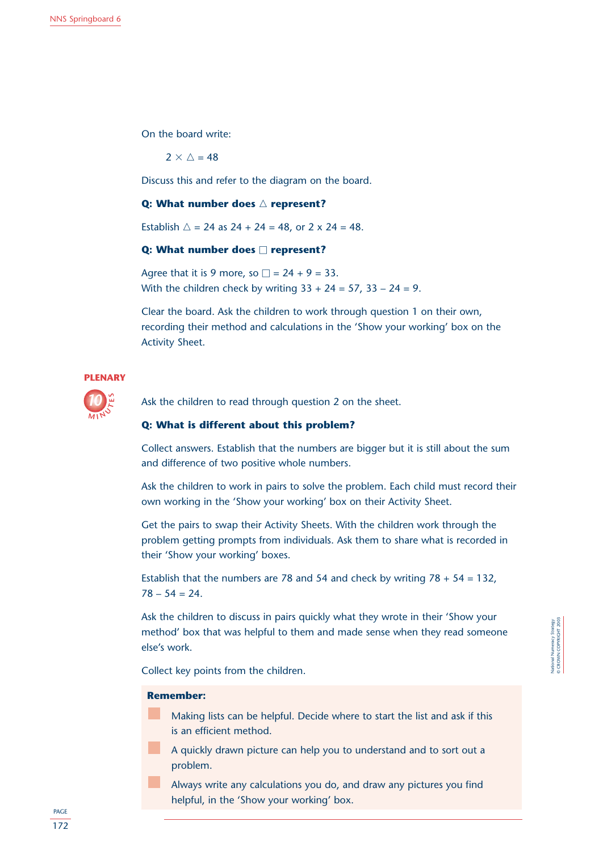On the board write:

 $2 \times \triangle = 48$ 

Discuss this and refer to the diagram on the board.

#### Q: What number does  $\triangle$  represent?

Establish  $\triangle = 24$  as  $24 + 24 = 48$ , or  $2 \times 24 = 48$ .

#### Q: What number does  $\Box$  represent?

Agree that it is 9 more, so  $\square$  = 24 + 9 = 33. With the children check by writing  $33 + 24 = 57$ ,  $33 - 24 = 9$ .

Clear the board. Ask the children to work through question 1 on their own, recording their method and calculations in the 'Show your working' box on the Activity Sheet.

## **PLENARY**



Ask the children to read through question 2 on the sheet.

## **Q: What is different about this problem?**

Collect answers. Establish that the numbers are bigger but it is still about the sum and difference of two positive whole numbers.

Ask the children to work in pairs to solve the problem. Each child must record their own working in the 'Show your working' box on their Activity Sheet.

Get the pairs to swap their Activity Sheets. With the children work through the problem getting prompts from individuals. Ask them to share what is recorded in their 'Show your working' boxes.

Establish that the numbers are 78 and 54 and check by writing  $78 + 54 = 132$ ,  $78 - 54 = 24$ 

Ask the children to discuss in pairs quickly what they wrote in their 'Show your method' box that was helpful to them and made sense when they read someone else's work.

Collect key points from the children.

## **Remember:**

- Making lists can be helpful. Decide where to start the list and ask if this is an efficient method.
- A quickly drawn picture can help you to understand and to sort out a problem.
	- Always write any calculations you do, and draw any pictures you find helpful, in the 'Show your working' box.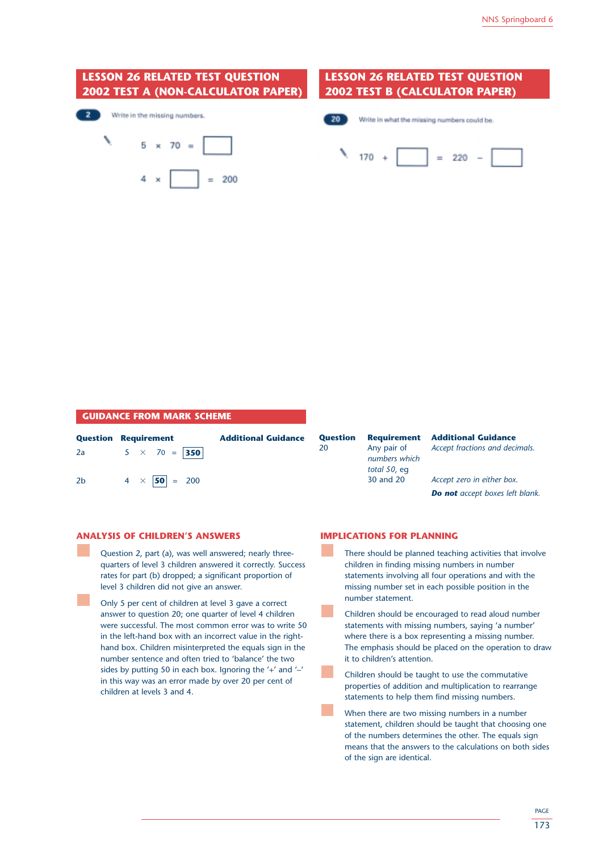#### **LESSON 26 RELATED TEST QUESTION LESSON 26 RELATED TEST QUESTION 2002 TEST A (NON-CALCULATOR PAPER) 2002 TEST B (CALCULATOR PAPER)** Write in the missing numbers.  $\overline{20}$ Write in what the missing numbers could be. 5  $\times$  70  $170 +$  $= 220 -$ 200

|                | <b>GUIDANCE FROM MARK SCHEME</b> |                            |                 |                                              |                                        |
|----------------|----------------------------------|----------------------------|-----------------|----------------------------------------------|----------------------------------------|
|                | <b>Question Requirement</b>      | <b>Additional Guidance</b> | <b>Question</b> | Requirement                                  | <b>Additional Guidance</b>             |
| 2a             | $5 \times 70 =  350 $            |                            | 20              | Any pair of<br>numbers which<br>total 50, eq | Accept fractions and decimals.         |
| 2 <sub>b</sub> | $4 \times  50  = 200$            |                            |                 | 30 and 20                                    | Accept zero in either box.             |
|                |                                  |                            |                 |                                              | <b>Do not</b> accept boxes left blank. |

#### **ANALYSIS OF CHILDREN'S ANSWERS**

- Question 2, part (a), was well answered; nearly threequarters of level 3 children answered it correctly. Success rates for part (b) dropped; a significant proportion of level 3 children did not give an answer.
- Only 5 per cent of children at level 3 gave a correct answer to question 20; one quarter of level 4 children were successful. The most common error was to write 50 in the left-hand box with an incorrect value in the righthand box. Children misinterpreted the equals sign in the number sentence and often tried to 'balance' the two sides by putting 50 in each box. Ignoring the  $'+'$  and  $'-'$ in this way was an error made by over 20 per cent of children at levels 3 and 4.

# **IMPLICATIONS FOR PLANNING**

- There should be planned teaching activities that involve children in finding missing numbers in number statements involving all four operations and with the missing number set in each possible position in the number statement.
- Children should be encouraged to read aloud number statements with missing numbers, saying 'a number' where there is a box representing a missing number. The emphasis should be placed on the operation to draw it to children's attention.
- Children should be taught to use the commutative properties of addition and multiplication to rearrange statements to help them find missing numbers.
	- When there are two missing numbers in a number statement, children should be taught that choosing one of the numbers determines the other. The equals sign means that the answers to the calculations on both sides of the sign are identical.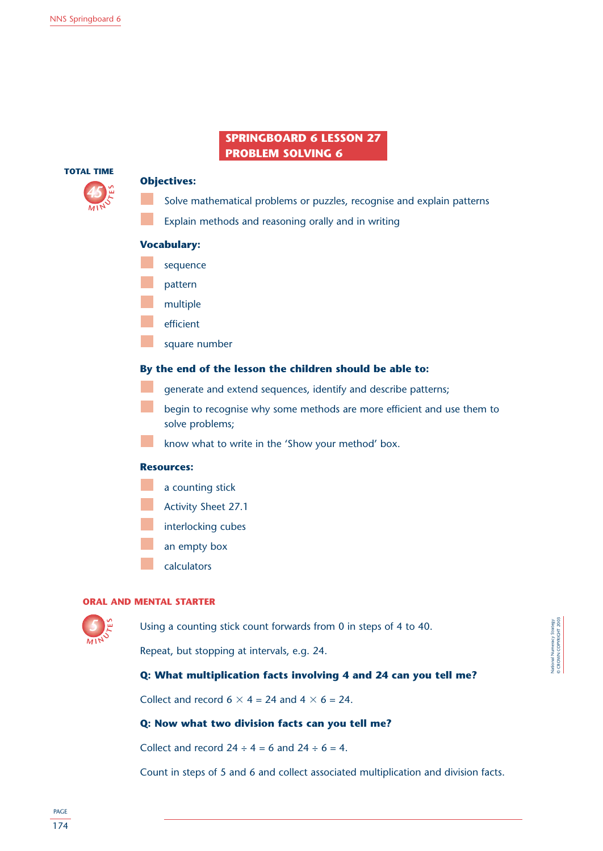## **SPRINGBOARD 6 LESSON 27 PROBLEM SOLVING 6**

## **TOTAL TIME**

*45*  $\frac{45}{100}$ 

#### **Objectives:**

- Solve mathematical problems or puzzles, recognise and explain patterns
- Explain methods and reasoning orally and in writing

## **Vocabulary:**

- sequence
- pattern
- multiple
- efficient
- square number

## **By the end of the lesson the children should be able to:**

- generate and extend sequences, identify and describe patterns;
- begin to recognise why some methods are more efficient and use them to solve problems;
- know what to write in the 'Show your method' box.

## **Resources:**

- a counting stick
- Activity Sheet 27.1
- interlocking cubes
- an empty box
- calculators

## **ORAL AND MENTAL STARTER**

 *5*  $\frac{5}{2}$   $\frac{12}{2}$ 

Using a counting stick count forwards from 0 in steps of 4 to 40.

Repeat, but stopping at intervals, e.g. 24.

## **Q: What multiplication facts involving 4 and 24 can you tell me?**

Collect and record  $6 \times 4 = 24$  and  $4 \times 6 = 24$ .

## **Q: Now what two division facts can you tell me?**

Collect and record  $24 \div 4 = 6$  and  $24 \div 6 = 4$ .

Count in steps of 5 and 6 and collect associated multiplication and division facts.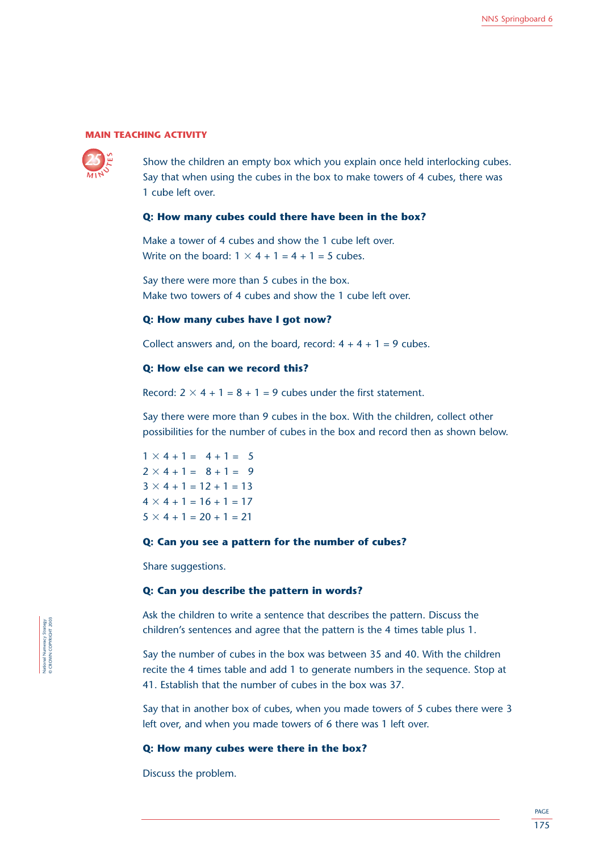#### **MAIN TEACHING ACTIVITY**



Show the children an empty box which you explain once held interlocking cubes. Say that when using the cubes in the box to make towers of 4 cubes, there was 1 cube left over.

## **Q: How many cubes could there have been in the box?**

Make a tower of 4 cubes and show the 1 cube left over. Write on the board:  $1 \times 4 + 1 = 4 + 1 = 5$  cubes.

Say there were more than 5 cubes in the box. Make two towers of 4 cubes and show the 1 cube left over.

## **Q: How many cubes have I got now?**

Collect answers and, on the board, record:  $4 + 4 + 1 = 9$  cubes.

#### **Q: How else can we record this?**

Record:  $2 \times 4 + 1 = 8 + 1 = 9$  cubes under the first statement.

Say there were more than 9 cubes in the box. With the children, collect other possibilities for the number of cubes in the box and record then as shown below.

 $1 \times 4 + 1 = 4 + 1 = 5$  $2 \times 4 + 1 = 8 + 1 = 9$  $3 \times 4 + 1 = 12 + 1 = 13$  $4 \times 4 + 1 = 16 + 1 = 17$  $5 \times 4 + 1 = 20 + 1 = 21$ 

#### **Q: Can you see a pattern for the number of cubes?**

Share suggestions.

## **Q: Can you describe the pattern in words?**

Ask the children to write a sentence that describes the pattern. Discuss the children's sentences and agree that the pattern is the 4 times table plus 1.

Say the number of cubes in the box was between 35 and 40. With the children recite the 4 times table and add 1 to generate numbers in the sequence. Stop at 41. Establish that the number of cubes in the box was 37.

Say that in another box of cubes, when you made towers of 5 cubes there were 3 left over, and when you made towers of 6 there was 1 left over.

## **Q: How many cubes were there in the box?**

Discuss the problem.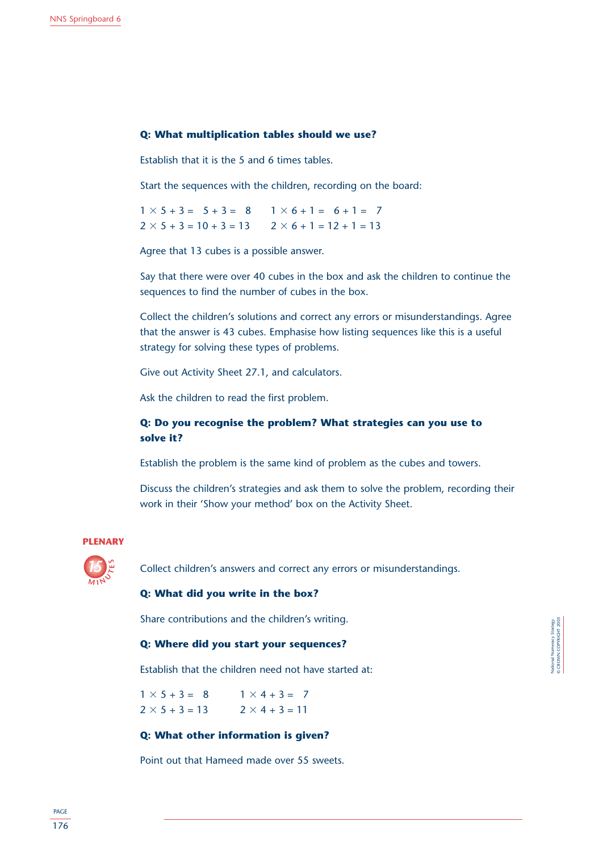## **Q: What multiplication tables should we use?**

Establish that it is the 5 and 6 times tables.

Start the sequences with the children, recording on the board:

 $1 \times 5 + 3 = 5 + 3 = 8$  1  $\times$  $1 \times 6 + 1 = 6 + 1 = 7$  $2 \times 5 + 3 = 10 + 3 = 13$  2  $\times$  $2 \times 6 + 1 = 12 + 1 = 13$ 

Agree that 13 cubes is a possible answer.

Say that there were over 40 cubes in the box and ask the children to continue the sequences to find the number of cubes in the box.

Collect the children's solutions and correct any errors or misunderstandings. Agree that the answer is 43 cubes. Emphasise how listing sequences like this is a useful strategy for solving these types of problems.

Give out Activity Sheet 27.1, and calculators.

Ask the children to read the first problem.

## **Q: Do you recognise the problem? What strategies can you use to solve it?**

Establish the problem is the same kind of problem as the cubes and towers.

Discuss the children's strategies and ask them to solve the problem, recording their work in their 'Show your method' box on the Activity Sheet.

## **PLENARY**



Collect children's answers and correct any errors or misunderstandings.

## **Q: What did you write in the box?**

Share contributions and the children's writing.

## **Q: Where did you start your sequences?**

Establish that the children need not have started at:

 $1 \times 5 + 3 = 8$  1  $\times$  $1 \times 4 + 3 = 7$  $2 \times 5 + 3 = 13$  2  $\times$  $2 \times 4 + 3 = 11$ 

## **Q: What other information is given?**

Point out that Hameed made over 55 sweets.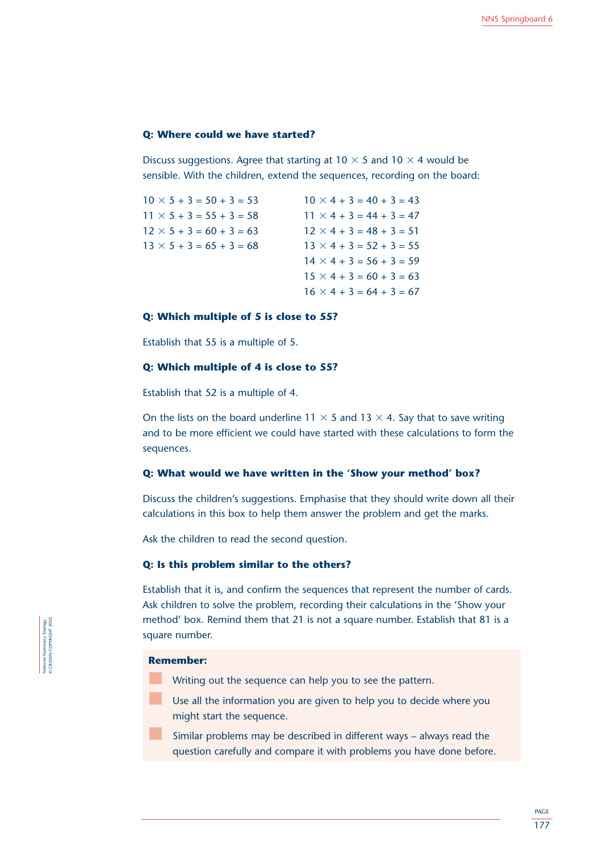#### **Q: Where could we have started?**

Discuss suggestions. Agree that starting at 10  $\times$  5 and 10  $\times$  4 would be sensible. With the children, extend the sequences, recording on the board:

```
10 \times 5 + 3 = 50 + 3 = 53 10 \times10 \times 4 + 3 = 40 + 3 = 4311 \times 5 + 3 = 55 + 3 = 58 11 \times11 \times 4 + 3 = 44 + 3 = 4712 \times 5 + 3 = 60 + 3 = 63 12 \times12 \times 4 + 3 = 48 + 3 = 5113 \times 5 + 3 = 65 + 3 = 68 13 \times13 \times 4 + 3 = 52 + 3 = 5514 \times 4 + 3 = 56 + 3 = 5915 \times 4 + 3 = 60 + 3 = 6316 \times 4 + 3 = 64 + 3 = 67
```
### **Q: Which multiple of 5 is close to 55?**

Establish that 55 is a multiple of 5.

#### **Q: Which multiple of 4 is close to 55?**

Establish that 52 is a multiple of 4.

On the lists on the board underline 11  $\times$  5 and 13  $\times$  4. Say that to save writing and to be more efficient we could have started with these calculations to form the sequences.

#### **Q: What would we have written in the 'Show your method' box?**

Discuss the children's suggestions. Emphasise that they should write down all their calculations in this box to help them answer the problem and get the marks.

Ask the children to read the second question.

### **Q: Is this problem similar to the others?**

Establish that it is, and confirm the sequences that represent the number of cards. Ask children to solve the problem, recording their calculations in the 'Show your method' box. Remind them that 21 is not a square number. Establish that 81 is a square number.

### **Remember:**

- Writing out the sequence can help you to see the pattern.
- Use all the information you are given to help you to decide where you might start the sequence.
- Similar problems may be described in different ways always read the question carefully and compare it with problems you have done before.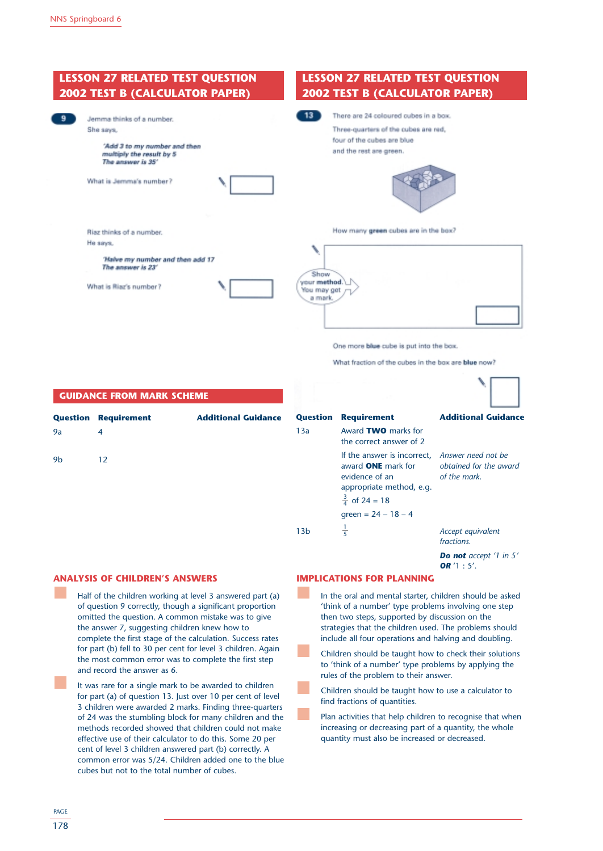

One more blue cube is put into the box.

What fraction of the cubes in the box are blue now?

#### **GUIDANCE FROM MARK SCHEME**

|                | <b>Question Requirement</b> | <b>Additional Guidance</b> | <b>Question</b> | <b>Requirement</b>                                                                                                                                   | <b>Additional Guidance</b>                                   |
|----------------|-----------------------------|----------------------------|-----------------|------------------------------------------------------------------------------------------------------------------------------------------------------|--------------------------------------------------------------|
| 9a             | 4                           |                            | 13a             | Award <b>TWO</b> marks for<br>the correct answer of 2                                                                                                |                                                              |
| 9 <sub>b</sub> | 12                          |                            |                 | If the answer is incorrect,<br>award ONE mark for<br>evidence of an<br>appropriate method, e.g.<br>$\frac{3}{4}$ of 24 = 18<br>qreen = $24 - 18 - 4$ | Answer need not be<br>obtained for the award<br>of the mark. |
|                |                             |                            | 13 <sub>b</sub> | $\frac{1}{5}$                                                                                                                                        | Accept equivalent<br>fractions.                              |
|                |                             |                            |                 |                                                                                                                                                      | <b>Do not</b> accept '1 in 5'                                |

#### **ANALYSIS OF CHILDREN'S ANSWERS**

- Half of the children working at level 3 answered part (a) of question 9 correctly, though a significant proportion omitted the question. A common mistake was to give the answer 7, suggesting children knew how to complete the first stage of the calculation. Success rates for part (b) fell to 30 per cent for level 3 children. Again the most common error was to complete the first step and record the answer as 6.
- It was rare for a single mark to be awarded to children for part (a) of question 13. Just over 10 per cent of level 3 children were awarded 2 marks. Finding three-quarters of 24 was the stumbling block for many children and the methods recorded showed that children could not make effective use of their calculator to do this. Some 20 per cent of level 3 children answered part (b) correctly. A common error was 5/24. Children added one to the blue cubes but not to the total number of cubes.

#### **IMPLICATIONS FOR PLANNING**

In the oral and mental starter, children should be asked 'think of a number' type problems involving one step then two steps, supported by discussion on the strategies that the children used. The problems should include all four operations and halving and doubling.

*OR* '1 : 5'.

- Children should be taught how to check their solutions to 'think of a number' type problems by applying the rules of the problem to their answer.
- Children should be taught how to use a calculator to find fractions of quantities.
- Plan activities that help children to recognise that when increasing or decreasing part of a quantity, the whole quantity must also be increased or decreased.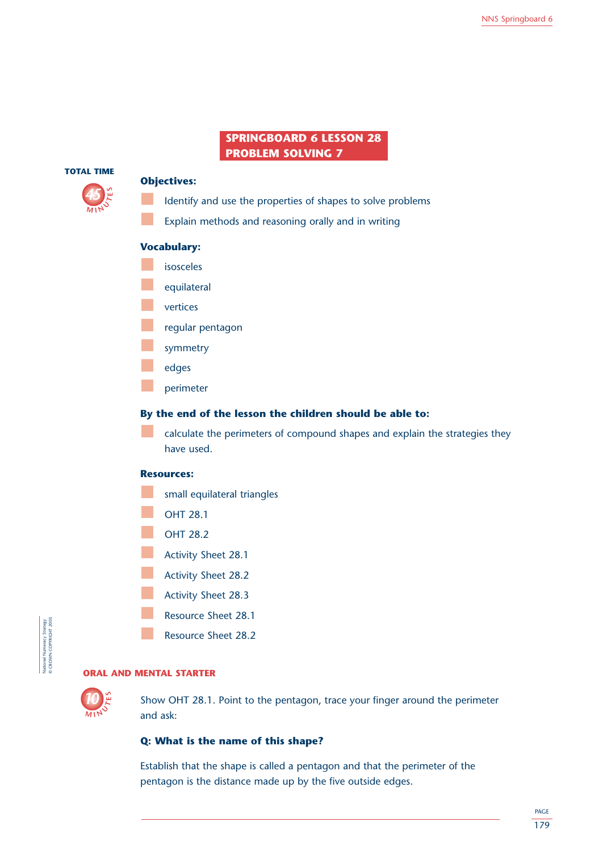# **SPRINGBOARD 6 LESSON 28 PROBLEM SOLVING 7**

### **TOTAL TIME**

*45*  $\frac{45}{100}$ 

#### **Objectives:**

- Identify and use the properties of shapes to solve problems
- Explain methods and reasoning orally and in writing

#### **Vocabulary:**

- isosceles
- equilateral
- vertices
- regular pentagon
- symmetry
- edges
- perimeter

#### **By the end of the lesson the children should be able to:**

calculate the perimeters of compound shapes and explain the strategies they have used.

#### **Resources:**

- small equilateral triangles
- OHT 28.1
- OHT 28.2
- Activity Sheet 28.1
- Activity Sheet 28.2
- Activity Sheet 28.3
- Resource Sheet 28.1
- Resource Sheet 28.2

### **ORAL AND MENTAL STARTER**



National Numeracy Strategy © CROWN COPYRIGHT 2003

National Numeracy Strategy<br>© CROWN COPYRIGHT 2003

Show OHT 28.1. Point to the pentagon, trace your finger around the perimeter and ask:

# **Q: What is the name of this shape?**

Establish that the shape is called a pentagon and that the perimeter of the pentagon is the distance made up by the five outside edges.

PAGE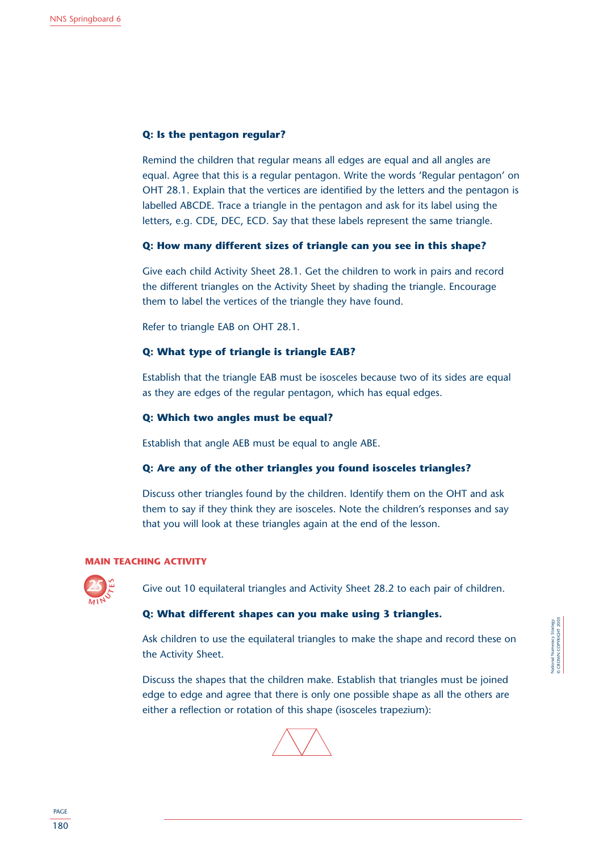#### **Q: Is the pentagon regular?**

Remind the children that regular means all edges are equal and all angles are equal. Agree that this is a regular pentagon. Write the words 'Regular pentagon' on OHT 28.1. Explain that the vertices are identified by the letters and the pentagon is labelled ABCDE. Trace a triangle in the pentagon and ask for its label using the letters, e.g. CDE, DEC, ECD. Say that these labels represent the same triangle.

### **Q: How many different sizes of triangle can you see in this shape?**

Give each child Activity Sheet 28.1. Get the children to work in pairs and record the different triangles on the Activity Sheet by shading the triangle. Encourage them to label the vertices of the triangle they have found.

Refer to triangle EAB on OHT 28.1.

### **Q: What type of triangle is triangle EAB?**

Establish that the triangle EAB must be isosceles because two of its sides are equal as they are edges of the regular pentagon, which has equal edges.

#### **Q: Which two angles must be equal?**

Establish that angle AEB must be equal to angle ABE.

#### **Q: Are any of the other triangles you found isosceles triangles?**

Discuss other triangles found by the children. Identify them on the OHT and ask them to say if they think they are isosceles. Note the children's responses and say that you will look at these triangles again at the end of the lesson.

# **MAIN TEACHING ACTIVITY**



Give out 10 equilateral triangles and Activity Sheet 28.2 to each pair of children.

### **Q: What different shapes can you make using 3 triangles.**

Ask children to use the equilateral triangles to make the shape and record these on the Activity Sheet.

Discuss the shapes that the children make. Establish that triangles must be joined edge to edge and agree that there is only one possible shape as all the others are either a reflection or rotation of this shape (isosceles trapezium):

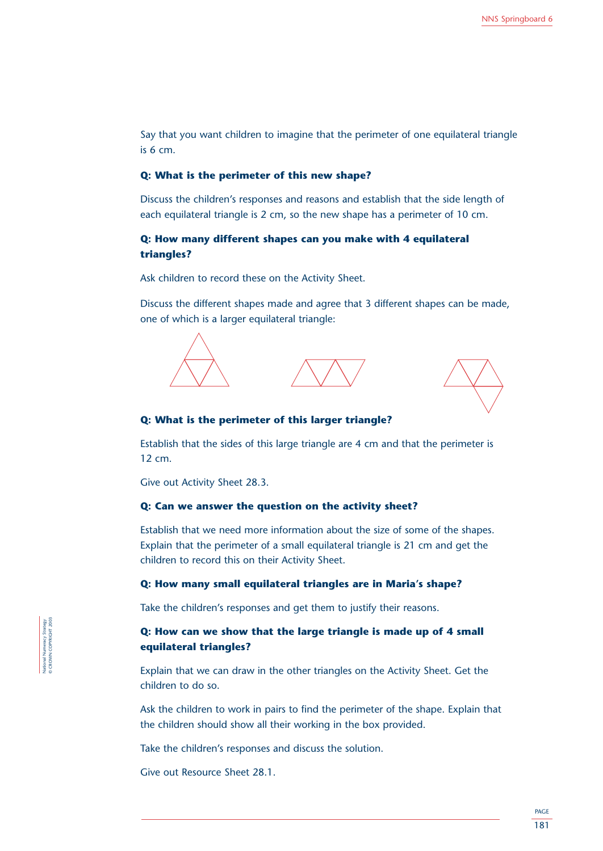Say that you want children to imagine that the perimeter of one equilateral triangle is 6 cm.

#### **Q: What is the perimeter of this new shape?**

Discuss the children's responses and reasons and establish that the side length of each equilateral triangle is 2 cm, so the new shape has a perimeter of 10 cm.

# **Q: How many different shapes can you make with 4 equilateral triangles?**

Ask children to record these on the Activity Sheet.

Discuss the different shapes made and agree that 3 different shapes can be made, one of which is a larger equilateral triangle:





### **Q: What is the perimeter of this larger triangle?**

Establish that the sides of this large triangle are 4 cm and that the perimeter is 12 cm.

Give out Activity Sheet 28.3.

#### **Q: Can we answer the question on the activity sheet?**

Establish that we need more information about the size of some of the shapes. Explain that the perimeter of a small equilateral triangle is 21 cm and get the children to record this on their Activity Sheet.

### **Q: How many small equilateral triangles are in Maria's shape?**

Take the children's responses and get them to justify their reasons.

# **Q: How can we show that the large triangle is made up of 4 small equilateral triangles?**

Explain that we can draw in the other triangles on the Activity Sheet. Get the children to do so.

Ask the children to work in pairs to find the perimeter of the shape. Explain that the children should show all their working in the box provided.

Take the children's responses and discuss the solution.

Give out Resource Sheet 28.1.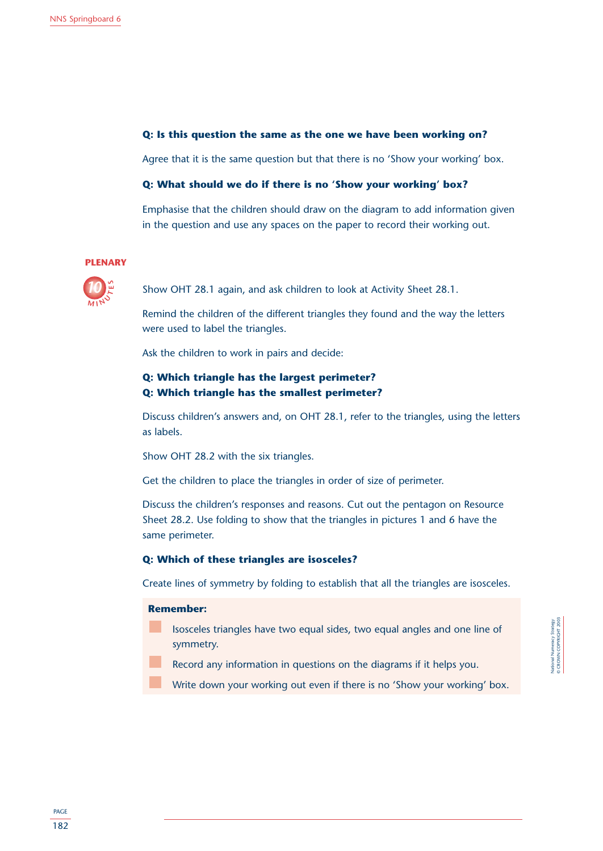### **Q: Is this question the same as the one we have been working on?**

Agree that it is the same question but that there is no 'Show your working' box.

### **Q: What should we do if there is no 'Show your working' box?**

Emphasise that the children should draw on the diagram to add information given in the question and use any spaces on the paper to record their working out.

# **PLENARY**



Show OHT 28.1 again, and ask children to look at Activity Sheet 28.1.

Remind the children of the different triangles they found and the way the letters were used to label the triangles.

Ask the children to work in pairs and decide:

# **Q: Which triangle has the largest perimeter? Q: Which triangle has the smallest perimeter?**

Discuss children's answers and, on OHT 28.1, refer to the triangles, using the letters as labels.

Show OHT 28.2 with the six triangles.

Get the children to place the triangles in order of size of perimeter.

Discuss the children's responses and reasons. Cut out the pentagon on Resource Sheet 28.2. Use folding to show that the triangles in pictures 1 and 6 have the same perimeter.

# **Q: Which of these triangles are isosceles?**

Create lines of symmetry by folding to establish that all the triangles are isosceles.

#### **Remember:**

- Isosceles triangles have two equal sides, two equal angles and one line of symmetry.
- Record any information in questions on the diagrams if it helps you.
- Write down your working out even if there is no 'Show your working' box.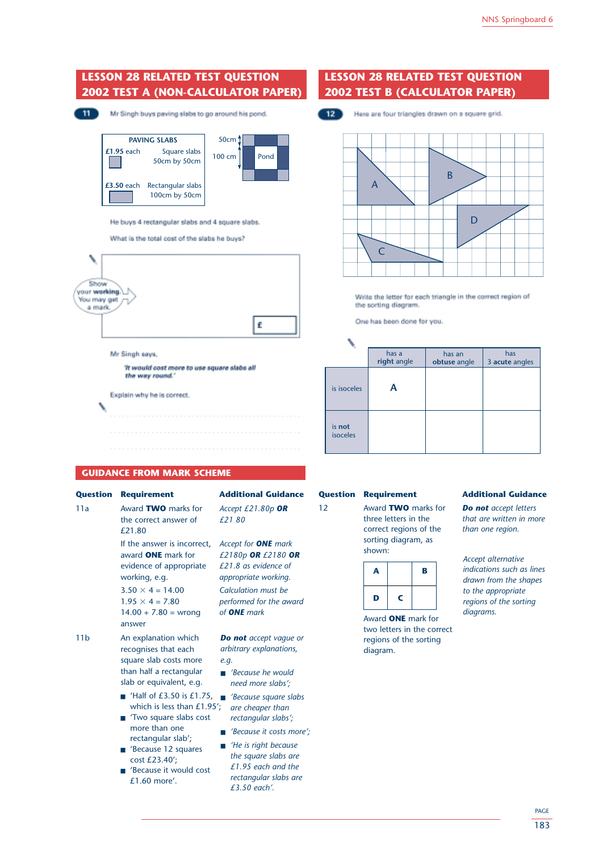# **LESSON 28 RELATED TEST QUESTION 2002 TEST A (NON-CALCULATOR PAPER)** Mr Singh buys paving slabs to go around his pond. 12 **PAVING SLABS** 50cm **£1.95** each Square slabs 100 cm Pond 50cm by 50cm **£3.50** each Rectangular slabs 100cm by 50cm He buys 4 rectangular slabs and 4 square slabs. What is the total cost of the slabs he buys? ٦ Show your working You may get a mark £ Mr Singh says. 'It would cost more to use square slabs all the way round Explain why he is correct ٩

# **LESSON 28 RELATED TEST QUESTION 2002 TEST B (CALCULATOR PAPER)**

Here are four triangles drawn on a square grid.



Write the letter for each triangle in the correct region of the sorting diagram.

One has been done for you

|                           | has a<br>right angle | has an<br>obtuse angle | has<br>3 acute angles |
|---------------------------|----------------------|------------------------|-----------------------|
| is isoceles               | А                    |                        |                       |
| is not<br><b>isoceles</b> |                      |                        |                       |

#### **GUIDANCE FROM MARK SCHEME**

#### **Question Requirement Additional Guidance**

11a Award **TWO** marks for *Accept £21.80p OR* the correct answer of *£21 80* £21.80

> $3.50 \times 4 = 14.00$  $1.95 \times 4 = 7.80$ 14.00 + 7.80 = wrong *of ONE mark* answer

11b An explanation which recognises that each square slab costs more than half a rectangular slab or equivalent, e.g.

- 'Half of £3.50 is £1.75, *'Because square slabs* which is less than £1.95':
- 'Two square slabs cost more than one rectangular slab';
- 'Because 12 squares cost £23.40';
- 'Because it would cost £1.60 more'.

If the answer is incorrect, *Accept for ONE mark* award **ONE** mark for *£2180p OR £2180 OR* evidence of appropriate *£21.8 as evidence of* working, e.g. *appropriate working.* Calculation must be performed for the award

> *Do not accept vague or arbitrary explanations, e.g.*

- *'Because he would need more slabs';*
- *are cheaper than rectangular slabs';*
- *'Because it costs more';*
- *'He is right because the square slabs are £1.95 each and the rectangular slabs are £3.50 each'.*

#### **Question Requirement Additional Guidance**

12 Award **TWO** marks for *Do not accept letters* correct regions of the *than one region.* sorting diagram, as shown:

| A |              | B |
|---|--------------|---|
| D | $\mathsf{C}$ |   |

Award **ONE** mark for two letters in the correct regions of the sorting diagram.

three letters in the *that are written in more*

*Accept alternative indications such as lines drawn from the shapes to the appropriate regions of the sorting diagrams.*

PAGE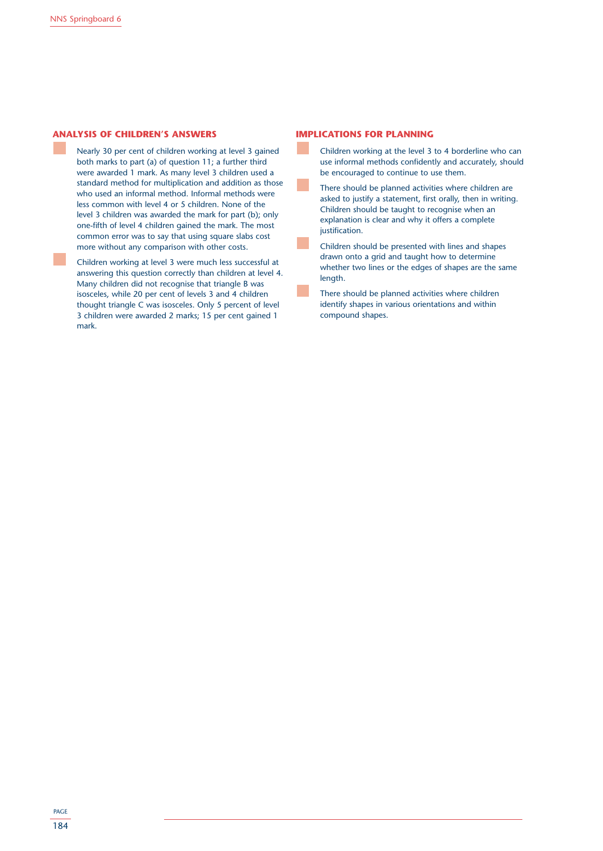#### **ANALYSIS OF CHILDREN'S ANSWERS**

- Nearly 30 per cent of children working at level 3 gained both marks to part (a) of question 11; a further third were awarded 1 mark. As many level 3 children used a standard method for multiplication and addition as those who used an informal method. Informal methods were less common with level 4 or 5 children. None of the level 3 children was awarded the mark for part (b); only one-fifth of level 4 children gained the mark. The most common error was to say that using square slabs cost more without any comparison with other costs.
- Children working at level 3 were much less successful at answering this question correctly than children at level 4. Many children did not recognise that triangle B was isosceles, while 20 per cent of levels 3 and 4 children thought triangle C was isosceles. Only 5 percent of level 3 children were awarded 2 marks; 15 per cent gained 1 mark.

#### **IMPLICATIONS FOR PLANNING**

- Children working at the level 3 to 4 borderline who can use informal methods confidently and accurately, should be encouraged to continue to use them.
- There should be planned activities where children are asked to justify a statement, first orally, then in writing. Children should be taught to recognise when an explanation is clear and why it offers a complete justification.
- Children should be presented with lines and shapes drawn onto a grid and taught how to determine whether two lines or the edges of shapes are the same length.
- There should be planned activities where children identify shapes in various orientations and within compound shapes.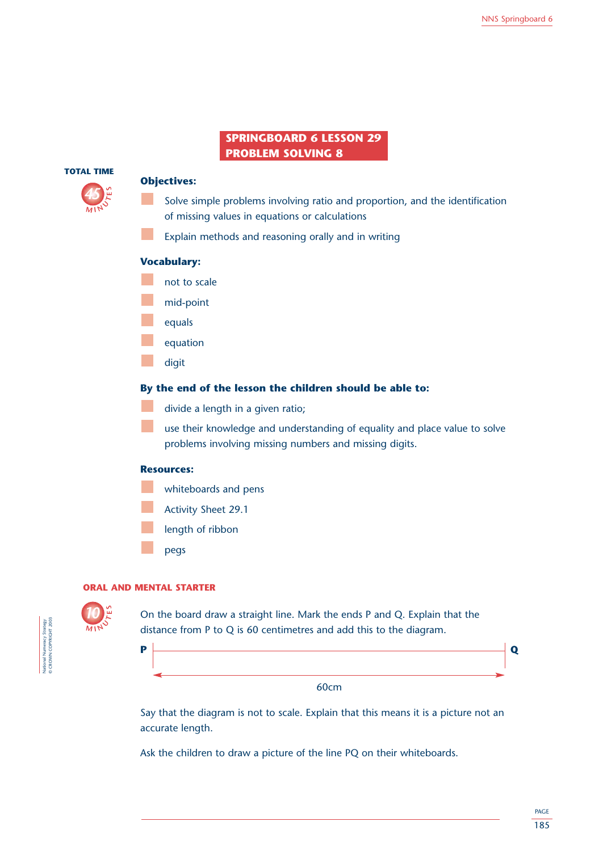# **SPRINGBOARD 6 LESSON 29 PROBLEM SOLVING 8**

#### **TOTAL TIME**

*45*  $\frac{45}{100}$ 

#### **Objectives:**

- Solve simple problems involving ratio and proportion, and the identification of missing values in equations or calculations
- Explain methods and reasoning orally and in writing

### **Vocabulary:**

- not to scale
- mid-point
- equals
- equation
- digit

# **By the end of the lesson the children should be able to:**

- divide a length in a given ratio;
- use their knowledge and understanding of equality and place value to solve problems involving missing numbers and missing digits.

# **Resources:**

- whiteboards and pens
- Activity Sheet 29.1
- length of ribbon
	- pegs

#### **ORAL AND MENTAL STARTER**



National Numeracy Strategy © CROWN COPYRIGHT 2003

ational Numeracy Strategy<br>• CROWN COPYRIGHT 2003

On the board draw a straight line. Mark the ends P and Q. Explain that the distance from P to Q is 60 centimetres and add this to the diagram.

| D   |      |  |
|-----|------|--|
| . . |      |  |
|     |      |  |
|     |      |  |
|     | 60cm |  |

Say that the diagram is not to scale. Explain that this means it is a picture not an accurate length.

Ask the children to draw a picture of the line PQ on their whiteboards.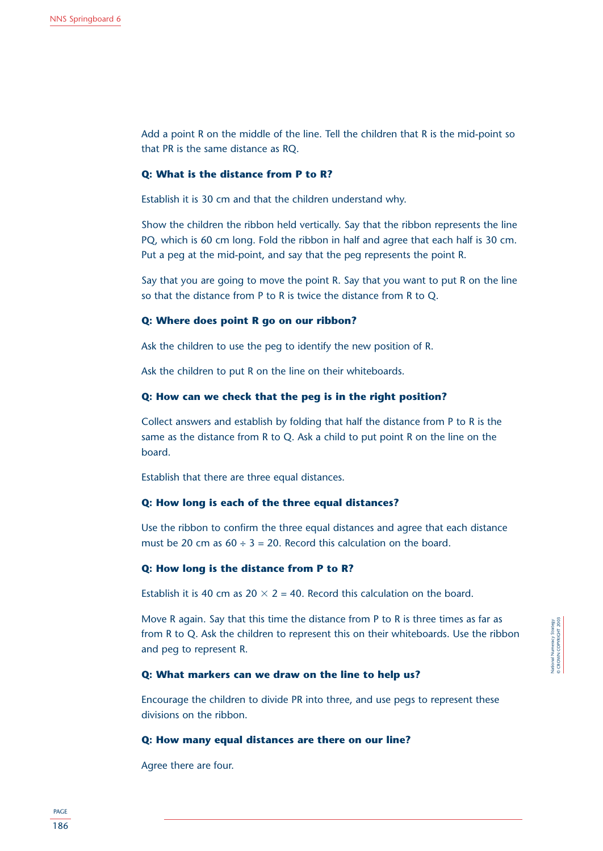Add a point R on the middle of the line. Tell the children that R is the mid-point so that PR is the same distance as RQ.

# **Q: What is the distance from P to R?**

Establish it is 30 cm and that the children understand why.

Show the children the ribbon held vertically. Say that the ribbon represents the line PQ, which is 60 cm long. Fold the ribbon in half and agree that each half is 30 cm. Put a peg at the mid-point, and say that the peg represents the point R.

Say that you are going to move the point R. Say that you want to put R on the line so that the distance from P to R is twice the distance from R to Q.

#### **Q: Where does point R go on our ribbon?**

Ask the children to use the peg to identify the new position of R.

Ask the children to put R on the line on their whiteboards.

#### **Q: How can we check that the peg is in the right position?**

Collect answers and establish by folding that half the distance from P to R is the same as the distance from R to Q. Ask a child to put point R on the line on the board.

Establish that there are three equal distances.

# **Q: How long is each of the three equal distances?**

Use the ribbon to confirm the three equal distances and agree that each distance must be 20 cm as  $60 \div 3 = 20$ . Record this calculation on the board.

#### **Q: How long is the distance from P to R?**

Establish it is 40 cm as 20  $\times$  2 = 40. Record this calculation on the board.

Move R again. Say that this time the distance from P to R is three times as far as from R to Q. Ask the children to represent this on their whiteboards. Use the ribbon and peg to represent R.

#### **Q: What markers can we draw on the line to help us?**

Encourage the children to divide PR into three, and use pegs to represent these divisions on the ribbon.

# **Q: How many equal distances are there on our line?**

Agree there are four.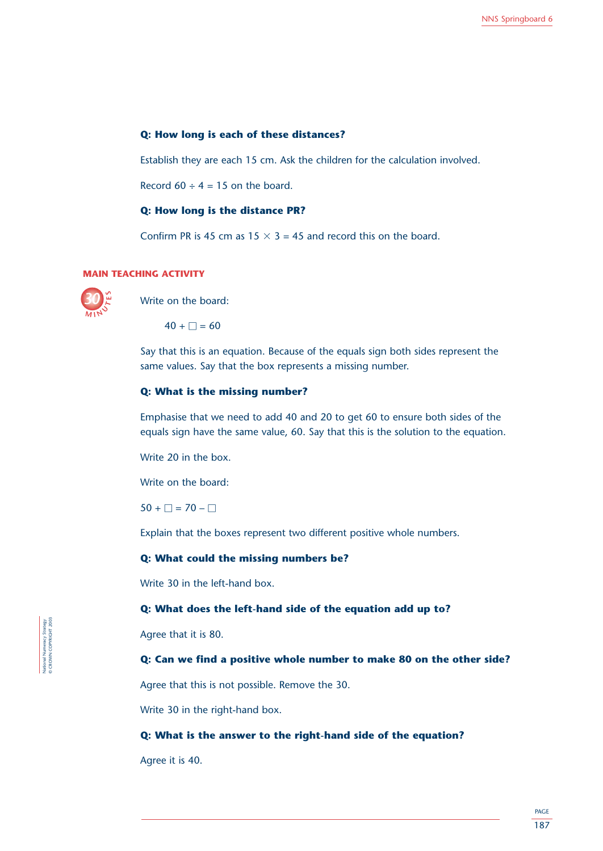### **Q: How long is each of these distances?**

Establish they are each 15 cm. Ask the children for the calculation involved.

Record  $60 \div 4 = 15$  on the board.

# **Q: How long is the distance PR?**

Confirm PR is 45 cm as  $15 \times 3 = 45$  and record this on the board.

### **MAIN TEACHING ACTIVITY**



Write on the board:

 $40 + \Box = 60$ 

Say that this is an equation. Because of the equals sign both sides represent the same values. Say that the box represents a missing number.

### **Q: What is the missing number?**

Emphasise that we need to add 40 and 20 to get 60 to ensure both sides of the equals sign have the same value, 60. Say that this is the solution to the equation.

Write 20 in the box.

Write on the board:

 $50 + \Box = 70 - \Box$ 

Explain that the boxes represent two different positive whole numbers.

# **Q: What could the missing numbers be?**

Write 30 in the left-hand box.

#### **Q: What does the left-hand side of the equation add up to?**

Agree that it is 80.

### **Q: Can we find a positive whole number to make 80 on the other side?**

Agree that this is not possible. Remove the 30.

Write 30 in the right-hand box.

# **Q: What is the answer to the right-hand side of the equation?**

Agree it is 40.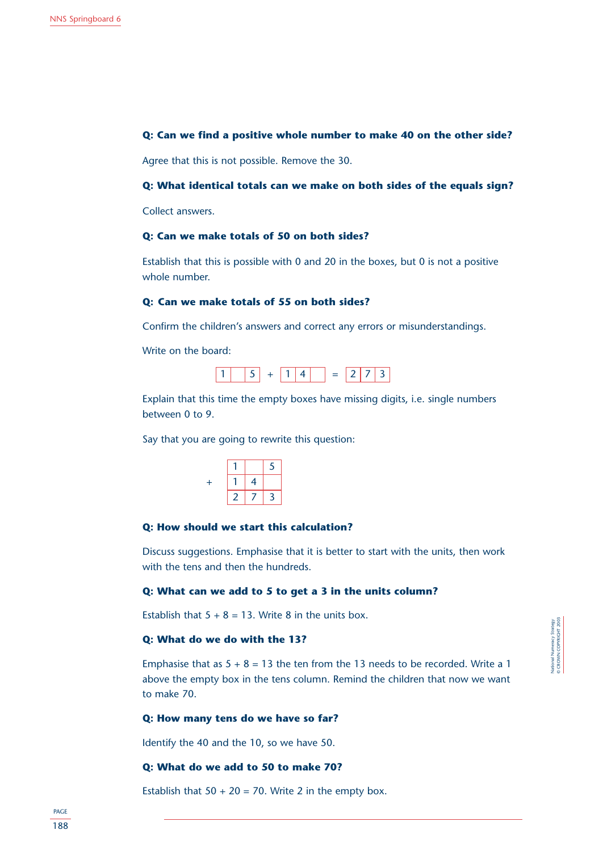# **Q: Can we find a positive whole number to make 40 on the other side?**

Agree that this is not possible. Remove the 30.

### **Q: What identical totals can we make on both sides of the equals sign?**

Collect answers.

#### **Q: Can we make totals of 50 on both sides?**

Establish that this is possible with 0 and 20 in the boxes, but 0 is not a positive whole number.

### **Q: Can we make totals of 55 on both sides?**

Confirm the children's answers and correct any errors or misunderstandings.

Write on the board:



Explain that this time the empty boxes have missing digits, i.e. single numbers between 0 to 9.

Say that you are going to rewrite this question:

|   |   | 5 |
|---|---|---|
|   | 4 |   |
| ╯ |   | 3 |

#### **Q: How should we start this calculation?**

Discuss suggestions. Emphasise that it is better to start with the units, then work with the tens and then the hundreds.

### **Q: What can we add to 5 to get a 3 in the units column?**

Establish that  $5 + 8 = 13$ . Write 8 in the units box.

### **Q: What do we do with the 13?**

Emphasise that as  $5 + 8 = 13$  the ten from the 13 needs to be recorded. Write a 1 above the empty box in the tens column. Remind the children that now we want to make 70.

#### **Q: How many tens do we have so far?**

Identify the 40 and the 10, so we have 50.

#### **Q: What do we add to 50 to make 70?**

Establish that  $50 + 20 = 70$ . Write 2 in the empty box.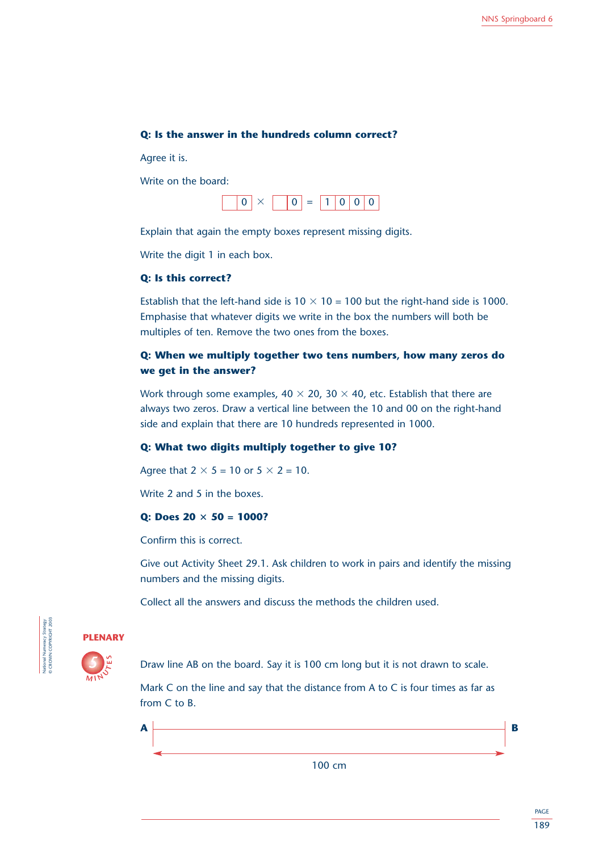# **Q: Is the answer in the hundreds column correct?**

Agree it is.

Write on the board:



Explain that again the empty boxes represent missing digits.

Write the digit 1 in each box.

#### **Q: Is this correct?**

Establish that the left-hand side is 10  $\times$  10 = 100 but the right-hand side is 1000. Emphasise that whatever digits we write in the box the numbers will both be multiples of ten. Remove the two ones from the boxes.

# **Q: When we multiply together two tens numbers, how many zeros do we get in the answer?**

Work through some examples, 40  $\times$  20, 30  $\times$  40, etc. Establish that there are always two zeros. Draw a vertical line between the 10 and 00 on the right-hand side and explain that there are 10 hundreds represented in 1000.

# **Q: What two digits multiply together to give 10?**

Agree that 2  $\times$  5 = 10 or 5  $\times$  2 = 10.

Write 2 and 5 in the boxes.

# **Q: Does 20**  $\times$  **50 = 1000?**

Confirm this is correct.

Give out Activity Sheet 29.1. Ask children to work in pairs and identify the missing numbers and the missing digits.

Collect all the answers and discuss the methods the children used.

# **PLENARY**  *5* **S**  $\frac{5}{5}$

Draw line AB on the board. Say it is 100 cm long but it is not drawn to scale.

Mark C on the line and say that the distance from A to C is four times as far as from C to B.

**A B**

100 cm

PAGE 189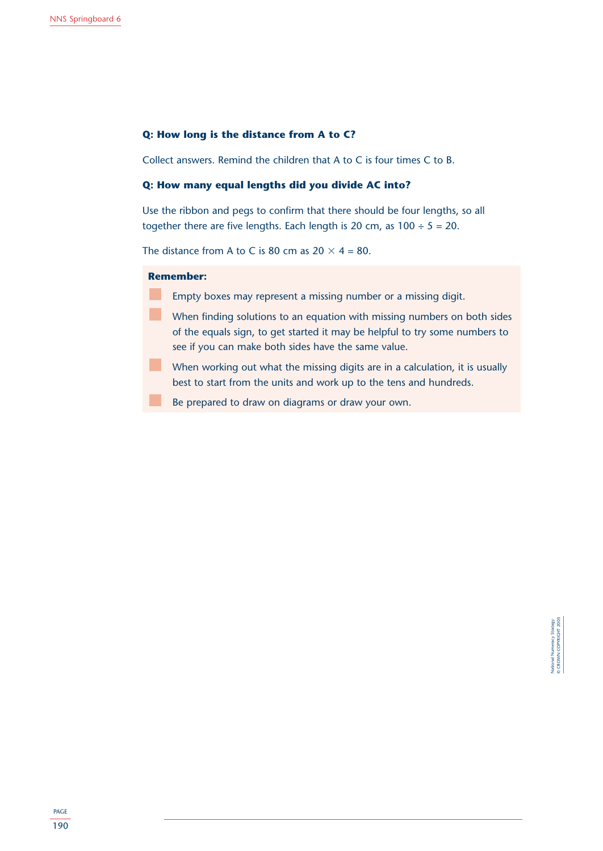# **Q: How long is the distance from A to C?**

Collect answers. Remind the children that A to C is four times C to B.

# **Q: How many equal lengths did you divide AC into?**

Use the ribbon and pegs to confirm that there should be four lengths, so all together there are five lengths. Each length is 20 cm, as  $100 \div 5 = 20$ .

The distance from A to C is 80 cm as  $20 \times 4 = 80$ .

#### **Remember:**

Empty boxes may represent a missing number or a missing digit.

- When finding solutions to an equation with missing numbers on both sides of the equals sign, to get started it may be helpful to try some numbers to see if you can make both sides have the same value.
- When working out what the missing digits are in a calculation, it is usually best to start from the units and work up to the tens and hundreds.
	- Be prepared to draw on diagrams or draw your own.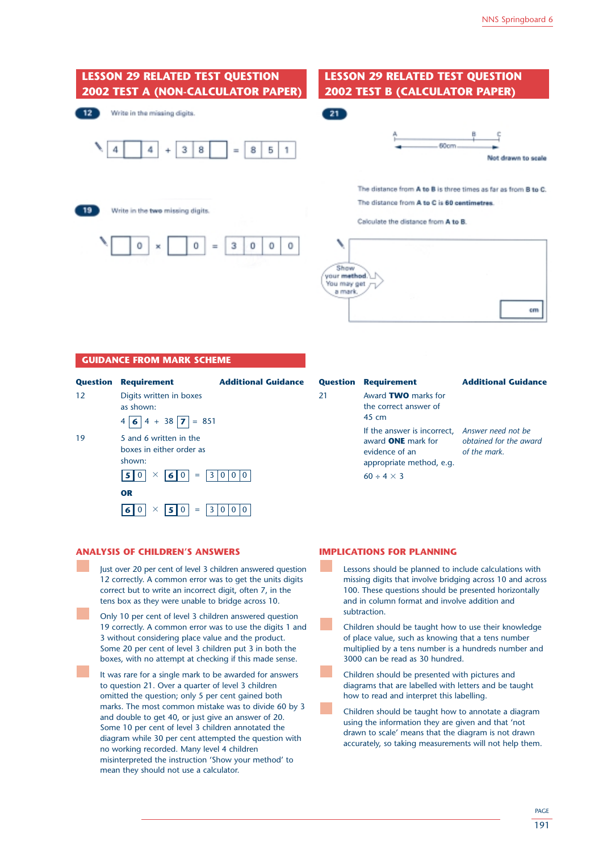### **LESSON 29 RELATED TEST QUESTION 2002 TEST A (NON-CALCULATOR PAPER)**  $12$ Write in the missing digits.



 $\Omega$ 

ġ, Ō  $\Omega$ O.

# **LESSON 29 RELATED TEST QUESTION 2002 TEST B (CALCULATOR PAPER)**



The distance from A to B is three times as far as from B to C. The distance from A to C is 60 contimetres.

Calculate the distance from A to B.



#### **GUIDANCE FROM MARK SCHEME**

Write in the two missing digits.

 $\ddot{\mathbf{0}}$ 

 $19<sup>1</sup>$ 

| <b>Question</b>   | <b>Requirement</b>                                                                   | <b>Additional Guidance</b>      |    | <b>Question Requirement</b>                                                                                               | <b>Additional Guidance</b>             |
|-------------------|--------------------------------------------------------------------------------------|---------------------------------|----|---------------------------------------------------------------------------------------------------------------------------|----------------------------------------|
| $12 \overline{ }$ | Digits written in boxes<br>as shown:<br>$4 \overline{6}$ 4 + 38 $\overline{7}$ = 851 |                                 | 21 | Award <b>TWO</b> marks for<br>the correct answer of<br>45 cm                                                              |                                        |
| 19                | 5 and 6 written in the<br>boxes in either order as<br>shown:                         |                                 |    | If the answer is incorrect, Answer need not be<br>award <b>ONE</b> mark for<br>evidence of an<br>appropriate method, e.g. | obtained for the award<br>of the mark. |
|                   | 5 0 <br>$=$<br><b>6</b> I                                                            | 3 0 0 0                         |    | $60 \div 4 \times 3$                                                                                                      |                                        |
|                   | OR                                                                                   |                                 |    |                                                                                                                           |                                        |
|                   | 3<br>$=$                                                                             | $\mathbf{0}$<br>0 <sup>10</sup> |    |                                                                                                                           |                                        |

### **ANALYSIS OF CHILDREN'S ANSWERS**

- Just over 20 per cent of level 3 children answered question 12 correctly. A common error was to get the units digits correct but to write an incorrect digit, often 7, in the tens box as they were unable to bridge across 10.
	- Only 10 per cent of level 3 children answered question 19 correctly. A common error was to use the digits 1 and 3 without considering place value and the product. Some 20 per cent of level 3 children put 3 in both the boxes, with no attempt at checking if this made sense.
- It was rare for a single mark to be awarded for answers to question 21. Over a quarter of level 3 children omitted the question; only 5 per cent gained both marks. The most common mistake was to divide 60 by 3 and double to get 40, or just give an answer of 20. Some 10 per cent of level 3 children annotated the diagram while 30 per cent attempted the question with no working recorded. Many level 4 children misinterpreted the instruction 'Show your method' to mean they should not use a calculator.

#### **IMPLICATIONS FOR PLANNING**

- Lessons should be planned to include calculations with missing digits that involve bridging across 10 and across 100. These questions should be presented horizontally and in column format and involve addition and subtraction.
	- Children should be taught how to use their knowledge of place value, such as knowing that a tens number multiplied by a tens number is a hundreds number and 3000 can be read as 30 hundred.
- Children should be presented with pictures and diagrams that are labelled with letters and be taught how to read and interpret this labelling.
- Children should be taught how to annotate a diagram using the information they are given and that 'not drawn to scale' means that the diagram is not drawn accurately, so taking measurements will not help them.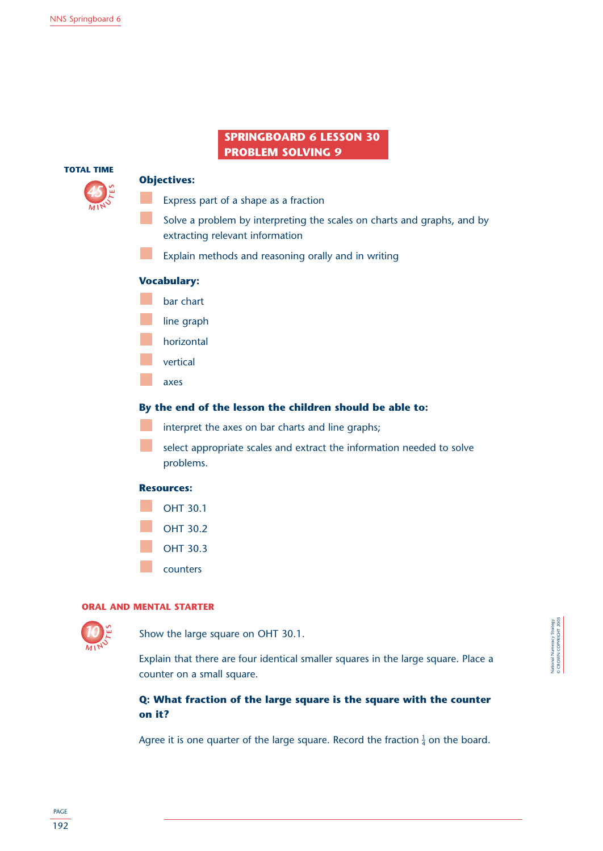# **SPRINGBOARD 6 LESSON 30 PROBLEM SOLVING 9**

#### **TOTAL TIME**

*45*  $\frac{45}{100}$ 

### **Objectives:**

- Express part of a shape as a fraction
- Solve a problem by interpreting the scales on charts and graphs, and by extracting relevant information
- Explain methods and reasoning orally and in writing

### **Vocabulary:**



# **By the end of the lesson the children should be able to:**

- interpret the axes on bar charts and line graphs;
- select appropriate scales and extract the information needed to solve problems.

#### **Resources:**



# **ORAL AND MENTAL STARTER**



Show the large square on OHT 30.1.

Explain that there are four identical smaller squares in the large square. Place a counter on a small square.

# **Q: What fraction of the large square is the square with the counter on it?**

Agree it is one quarter of the large square. Record the fraction  $\frac{1}{4}$  on the board.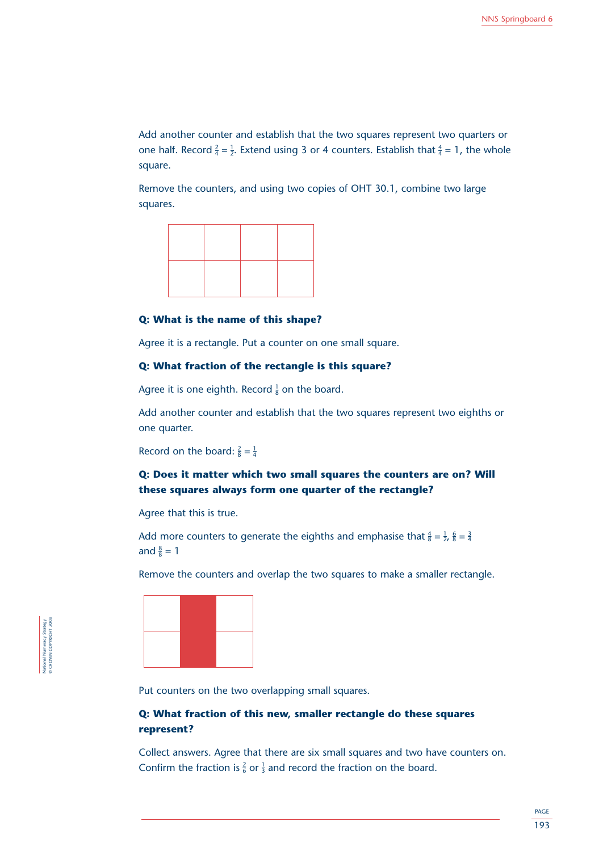Add another counter and establish that the two squares represent two quarters or one half. Record  $\frac{2}{4} = \frac{1}{2}$ . Extend using 3 or 4 counters. Establish that  $\frac{4}{4} = 1$ , the whole square.

Remove the counters, and using two copies of OHT 30.1, combine two large squares.

#### **Q: What is the name of this shape?**

Agree it is a rectangle. Put a counter on one small square.

### **Q: What fraction of the rectangle is this square?**

Agree it is one eighth. Record  $\frac{1}{8}$  on the board.

Add another counter and establish that the two squares represent two eighths or one quarter.

```
Record on the board: \frac{2}{8} = \frac{1}{4}
```
# **Q: Does it matter which two small squares the counters are on? Will these squares always form one quarter of the rectangle?**

Agree that this is true.

Add more counters to generate the eighths and emphasise that  $\frac{4}{8} = \frac{1}{2}$ ,  $\frac{6}{8} = \frac{3}{4}$ and  $\frac{8}{8}$  = 1

Remove the counters and overlap the two squares to make a smaller rectangle.



Put counters on the two overlapping small squares.

# **Q: What fraction of this new, smaller rectangle do these squares represent?**

Collect answers. Agree that there are six small squares and two have counters on. Confirm the fraction is  $\frac{2}{6}$  or  $\frac{1}{3}$  and record the fraction on the board.

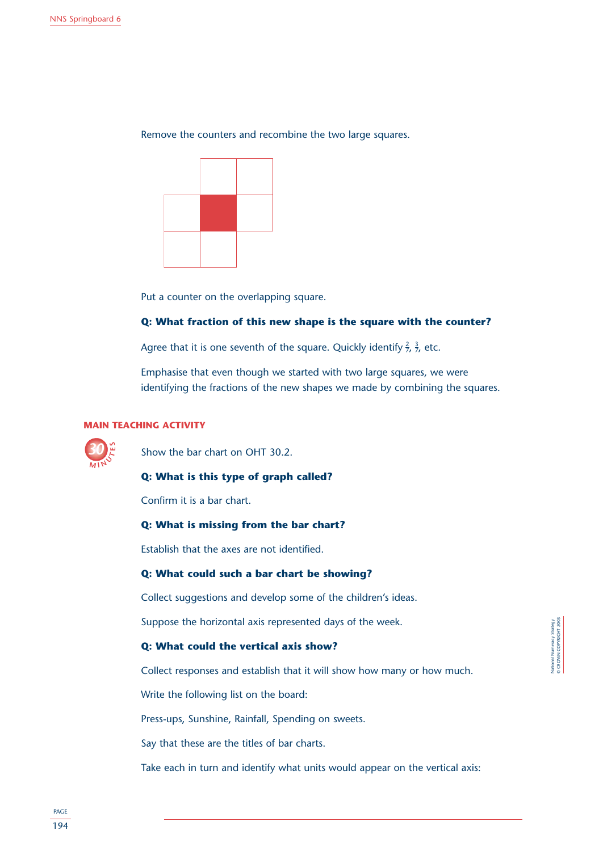Remove the counters and recombine the two large squares.



Put a counter on the overlapping square.

### **Q: What fraction of this new shape is the square with the counter?**

Agree that it is one seventh of the square. Quickly identify  $\frac{2}{7}$ ,  $\frac{3}{7}$ , etc.

Emphasise that even though we started with two large squares, we were identifying the fractions of the new shapes we made by combining the squares.

# **MAIN TEACHING ACTIVITY**



Show the bar chart on OHT 30.2.

# **Q: What is this type of graph called?**

Confirm it is a bar chart.

# **Q: What is missing from the bar chart?**

Establish that the axes are not identified.

# **Q: What could such a bar chart be showing?**

Collect suggestions and develop some of the children's ideas.

Suppose the horizontal axis represented days of the week.

# **Q: What could the vertical axis show?**

Collect responses and establish that it will show how many or how much.

Write the following list on the board:

Press-ups, Sunshine, Rainfall, Spending on sweets.

Say that these are the titles of bar charts.

Take each in turn and identify what units would appear on the vertical axis: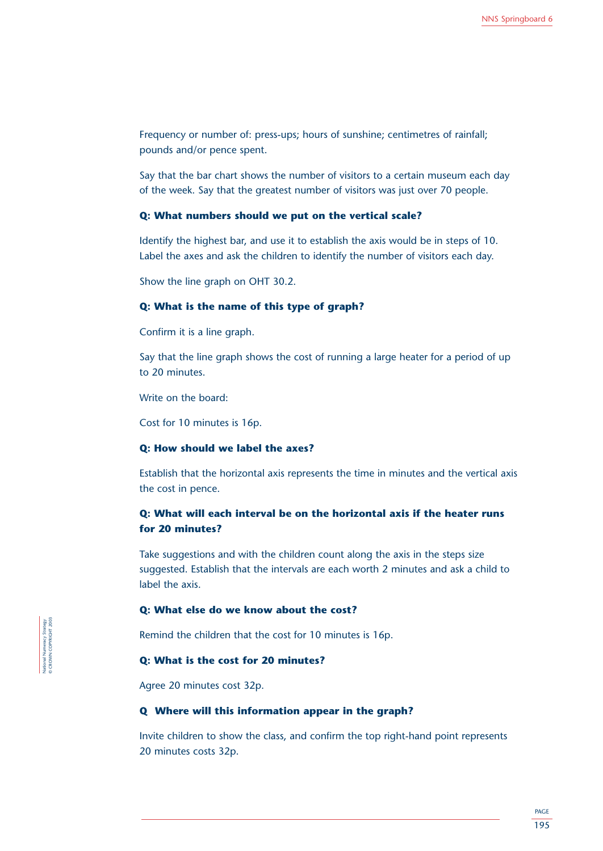Frequency or number of: press-ups; hours of sunshine; centimetres of rainfall; pounds and/or pence spent.

Say that the bar chart shows the number of visitors to a certain museum each day of the week. Say that the greatest number of visitors was just over 70 people.

#### **Q: What numbers should we put on the vertical scale?**

Identify the highest bar, and use it to establish the axis would be in steps of 10. Label the axes and ask the children to identify the number of visitors each day.

Show the line graph on OHT 30.2.

### **Q: What is the name of this type of graph?**

Confirm it is a line graph.

Say that the line graph shows the cost of running a large heater for a period of up to 20 minutes.

Write on the board:

Cost for 10 minutes is 16p.

#### **Q: How should we label the axes?**

Establish that the horizontal axis represents the time in minutes and the vertical axis the cost in pence.

# **Q: What will each interval be on the horizontal axis if the heater runs for 20 minutes?**

Take suggestions and with the children count along the axis in the steps size suggested. Establish that the intervals are each worth 2 minutes and ask a child to label the axis.

#### **Q: What else do we know about the cost?**

Remind the children that the cost for 10 minutes is 16p.

#### **Q: What is the cost for 20 minutes?**

Agree 20 minutes cost 32p.

#### **Q Where will this information appear in the graph?**

Invite children to show the class, and confirm the top right-hand point represents 20 minutes costs 32p.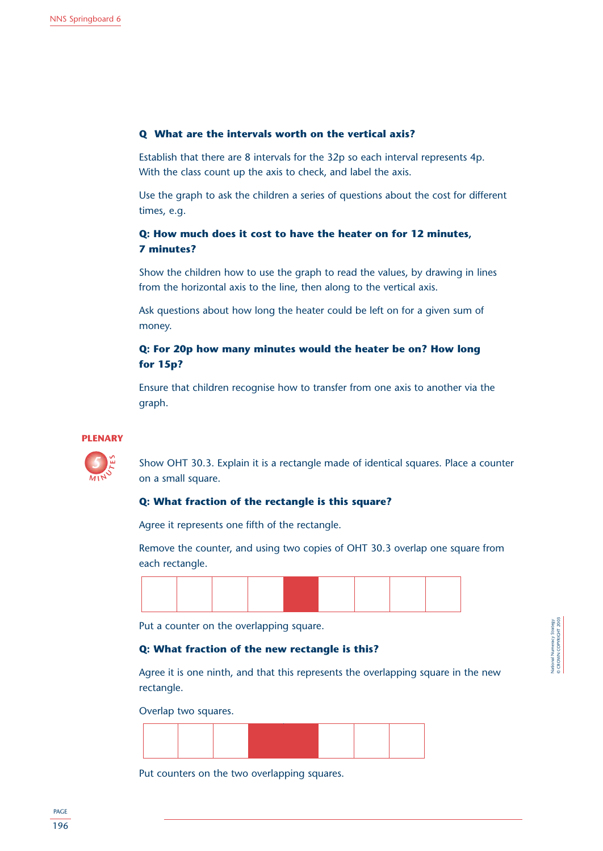# **Q What are the intervals worth on the vertical axis?**

Establish that there are 8 intervals for the 32p so each interval represents 4p. With the class count up the axis to check, and label the axis.

Use the graph to ask the children a series of questions about the cost for different times, e.g.

# **Q: How much does it cost to have the heater on for 12 minutes, 7 minutes?**

Show the children how to use the graph to read the values, by drawing in lines from the horizontal axis to the line, then along to the vertical axis.

Ask questions about how long the heater could be left on for a given sum of money.

# **Q: For 20p how many minutes would the heater be on? How long for 15p?**

Ensure that children recognise how to transfer from one axis to another via the graph.

# **PLENARY**



Show OHT 30.3. Explain it is a rectangle made of identical squares. Place a counter on a small square.

#### **Q: What fraction of the rectangle is this square?**

Agree it represents one fifth of the rectangle.

Remove the counter, and using two copies of OHT 30.3 overlap one square from each rectangle.

Put a counter on the overlapping square.

#### **Q: What fraction of the new rectangle is this?**

Agree it is one ninth, and that this represents the overlapping square in the new rectangle.

Overlap two squares.



Put counters on the two overlapping squares.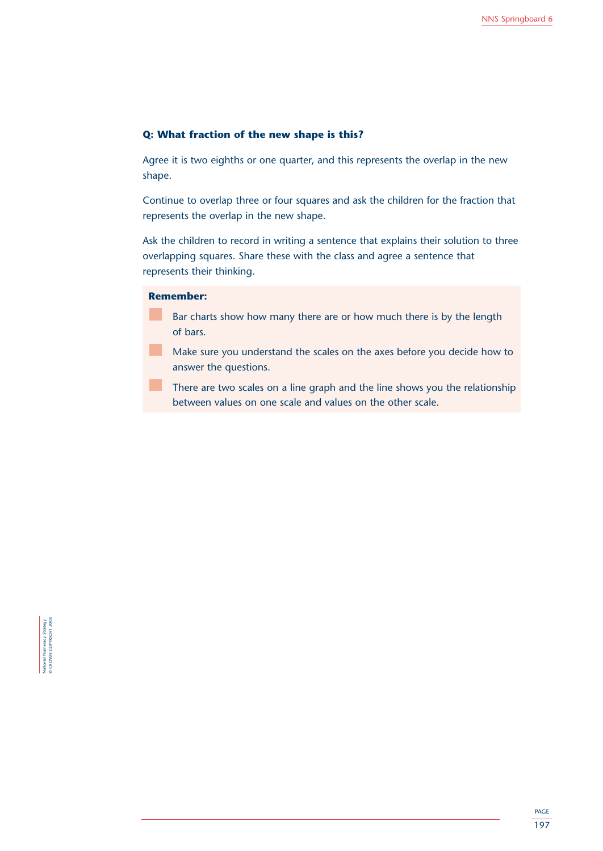# **Q: What fraction of the new shape is this?**

Agree it is two eighths or one quarter, and this represents the overlap in the new shape.

Continue to overlap three or four squares and ask the children for the fraction that represents the overlap in the new shape.

Ask the children to record in writing a sentence that explains their solution to three overlapping squares. Share these with the class and agree a sentence that represents their thinking.

# **Remember:**

- Bar charts show how many there are or how much there is by the length of bars.
- Make sure you understand the scales on the axes before you decide how to answer the questions.
- There are two scales on a line graph and the line shows you the relationship between values on one scale and values on the other scale.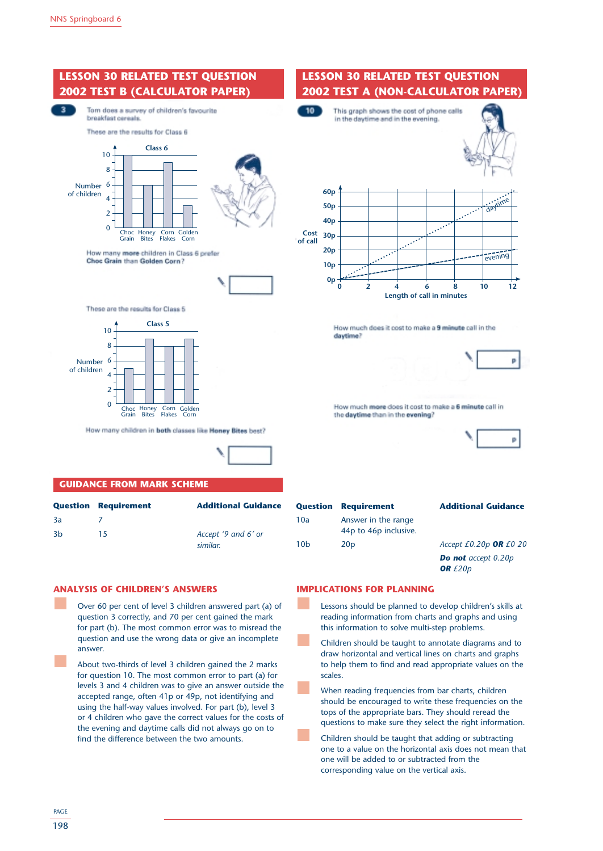

About two-thirds of level 3 children gained the 2 marks for question 10. The most common error to part (a) for levels 3 and 4 children was to give an answer outside the accepted range, often 41p or 49p, not identifying and using the half-way values involved. For part (b), level 3 or 4 children who gave the correct values for the costs of the evening and daytime calls did not always go on to find the difference between the two amounts.

#### When reading frequencies from bar charts, children should be encouraged to write these frequencies on the tops of the appropriate bars. They should reread the questions to make sure they select the right information.

to help them to find and read appropriate values on the

scales.

Children should be taught that adding or subtracting one to a value on the horizontal axis does not mean that one will be added to or subtracted from the corresponding value on the vertical axis.

PAGE 198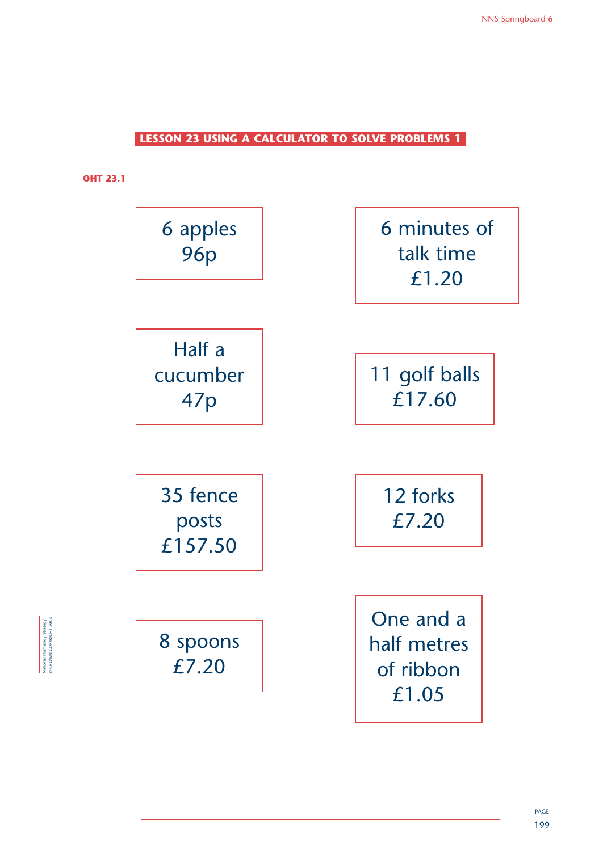**LESSON 23 USING A CALCULATOR TO SOLVE PROBLEMS 1**

**OHT 23.1**

National Numeracy Strategy © CROWN COPYRIGHT 2003

National Numeracy Strategy<br>© CROWN COPYRIGHT 2003

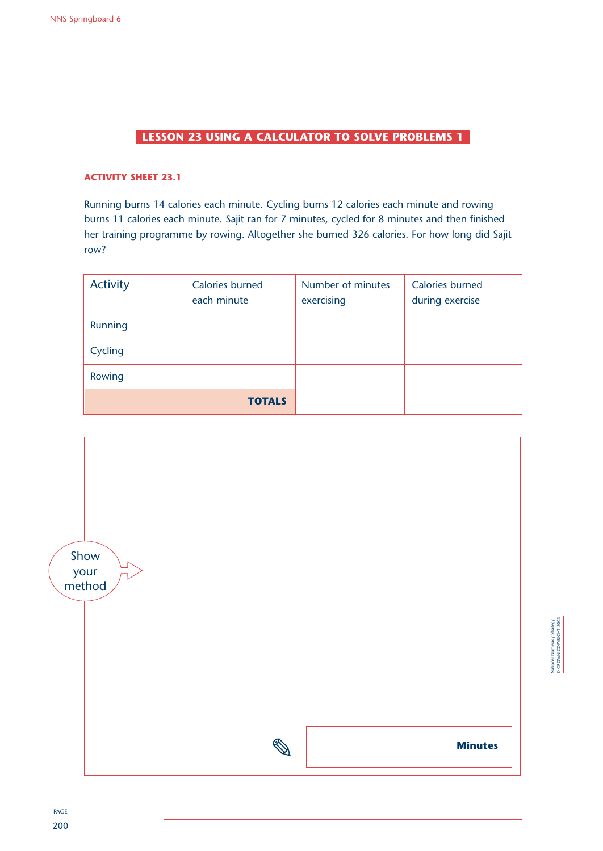PAGE 200

# **LESSON 23 USING A CALCULATOR TO SOLVE PROBLEMS 1**

# **ACTIVITY SHEET 23.1**

Running burns 14 calories each minute. Cycling burns 12 calories each minute and rowing burns 11 calories each minute. Sajit ran for 7 minutes, cycled for 8 minutes and then finished her training programme by rowing. Altogether she burned 326 calories. For how long did Sajit row?

| Activity | Calories burned<br>each minute | Number of minutes<br>exercising | Calories burned<br>during exercise |
|----------|--------------------------------|---------------------------------|------------------------------------|
| Running  |                                |                                 |                                    |
| Cycling  |                                |                                 |                                    |
| Rowing   |                                |                                 |                                    |
|          | <b>TOTALS</b>                  |                                 |                                    |



National Numeracy Strategy © CROWN COPYRIGHT 2003

National Numeracy Strategy<br>© CROWN COPYRIGHT 2003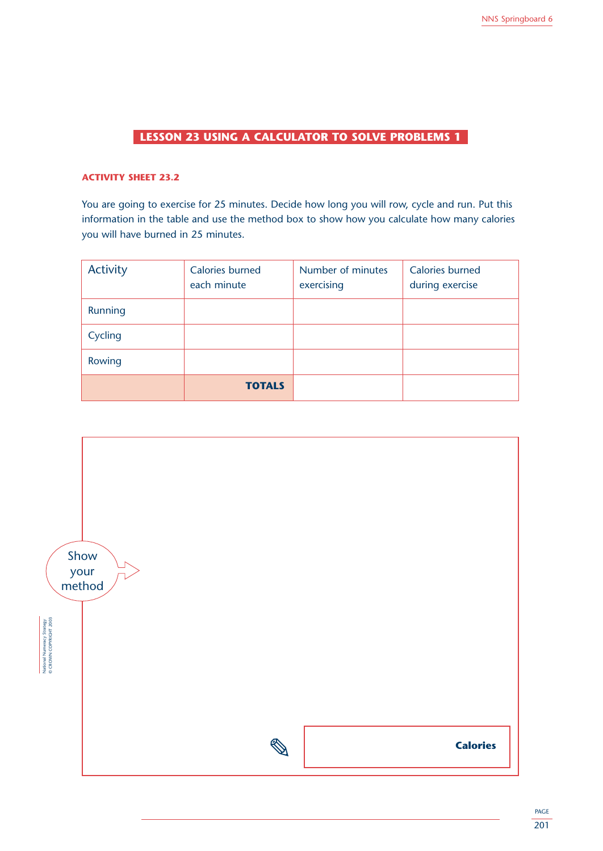# **LESSON 23 USING A CALCULATOR TO SOLVE PROBLEMS 1**

### **ACTIVITY SHEET 23.2**

You are going to exercise for 25 minutes. Decide how long you will row, cycle and run. Put this information in the table and use the method box to show how you calculate how many calories you will have burned in 25 minutes.

| <b>Activity</b> | Calories burned<br>each minute | Number of minutes<br>exercising | Calories burned<br>during exercise |
|-----------------|--------------------------------|---------------------------------|------------------------------------|
| Running         |                                |                                 |                                    |
| Cycling         |                                |                                 |                                    |
| Rowing          |                                |                                 |                                    |
|                 | <b>TOTALS</b>                  |                                 |                                    |

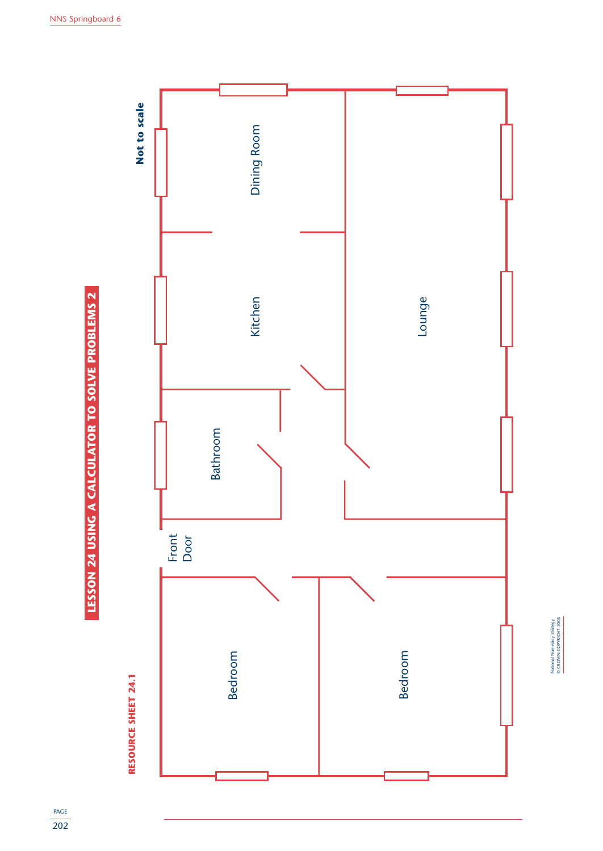LESSON 24 USING A CALCULATOR TO SOLVE PROBLEMS 2 **LESSON 24 USING A CALCULATOR TO SOLVE PROBLEMS 2**

> **RESOURCE SHEET 24.1 RESOURCE SHEET 24.1**



National Numeracy Strategy<br>© CROWN COPYRIGHT 2003 © CROWN COPYRIGHT 2003 National Numeracy Strategy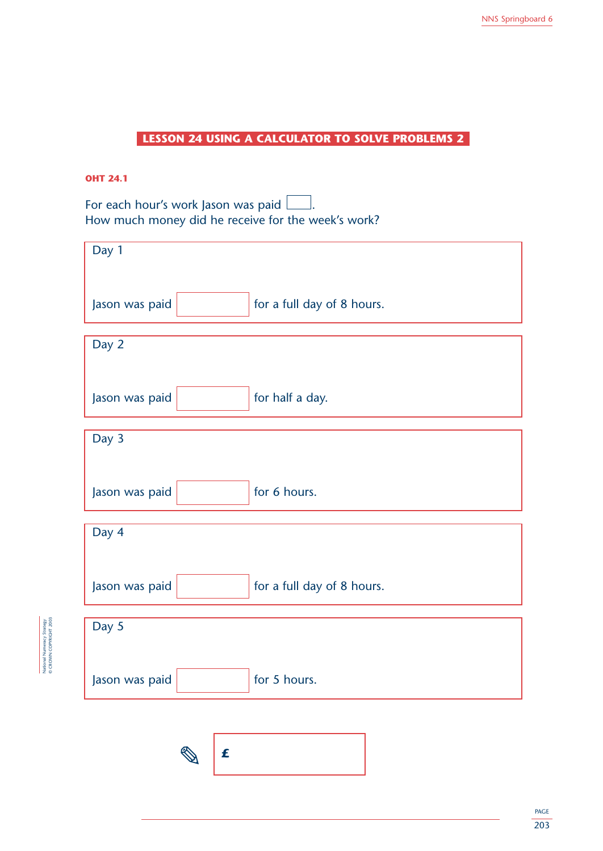# **LESSON 24 USING A CALCULATOR TO SOLVE PROBLEMS 2**

# **OHT 24.1**

National Numeracy Strategy © CROWN COPYRIGHT 2003

National Numeracy Strategy<br>© CROWN COPYRIGHT 2003

For each hour's work Jason was paid  $\lfloor \_\_\_\right.$ How much money did he receive for the week's work?

✎ **£**

| Day 1                                        |
|----------------------------------------------|
|                                              |
| for a full day of 8 hours.<br>Jason was paid |
| Day 2                                        |
|                                              |
| for half a day.<br>Jason was paid            |
| Day 3                                        |
|                                              |
| for 6 hours.<br>Jason was paid               |
| Day 4                                        |
|                                              |
| for a full day of 8 hours.<br>Jason was paid |
| Day 5                                        |
|                                              |
| for 5 hours.<br>Jason was paid               |
|                                              |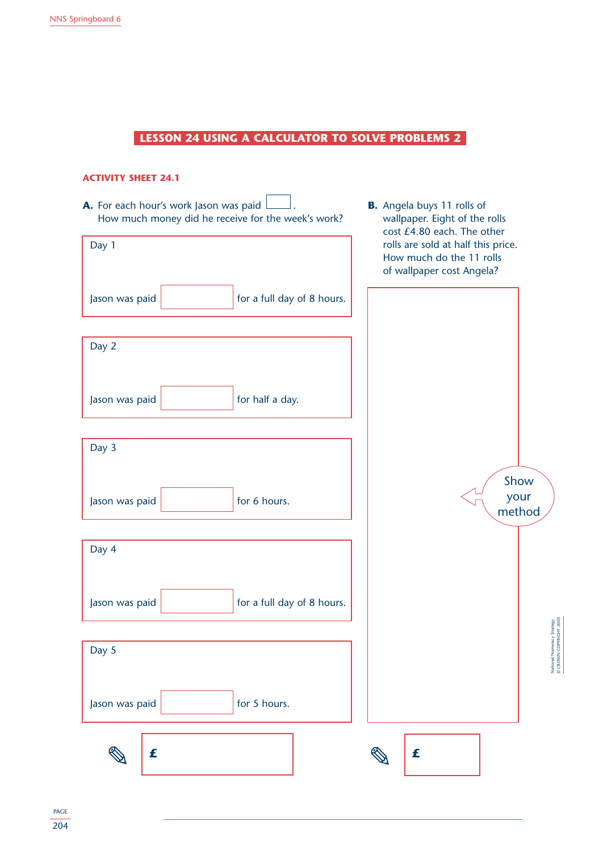# **LESSON 24 USING A CALCULATOR TO SOLVE PROBLEMS 2**

#### **ACTIVITY SHEET 24.1**

**A.** For each hour's work Jason was paid  $\Box$ . **B.** Angela buys 11 rolls of How much money did he receive for the week's work? wallpaper. Eight of the rolls cost £4.80 each. The other Day 1 rolls are sold at half this price. How much do the 11 rolls of wallpaper cost Angela?  $\vert$  ason was paid  $\vert$  for a full day of 8 hours. Day 2  $\int$  Jason was paid  $\int$  for half a day. Day 3 Show your  $\int$  Jason was paid  $\int$  for 6 hours. methodDay 4  $\vert$  ason was paid  $\vert$  for a full day of 8 hours. Vational Numeracy Strategy<br>5 CROWN COPYRIGHT 2003 National Numeracy Strategy Day 5  $\vert$  ason was paid  $\vert$  for 5 hours. ✎ **£** ✎ **£**

© CROWN COPYRIGHT 2003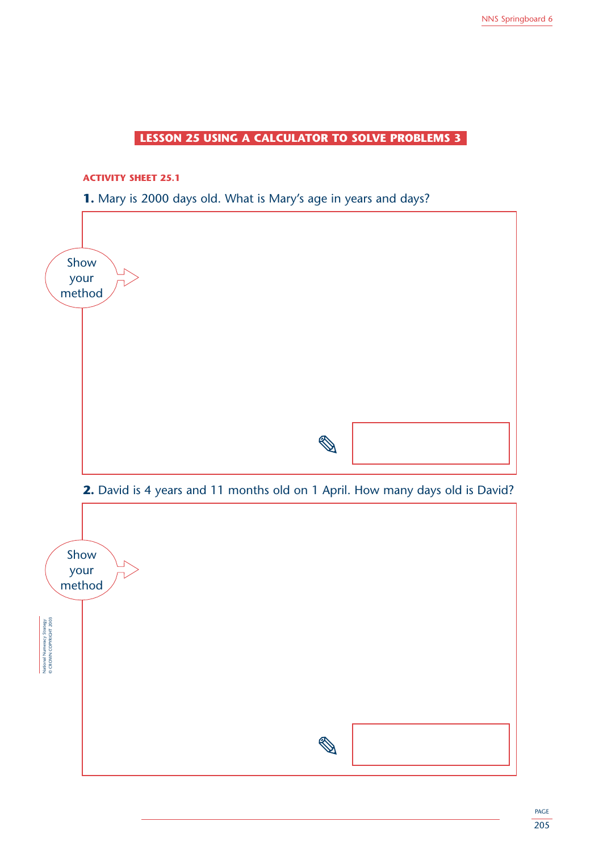# **LESSON 25 USING A CALCULATOR TO SOLVE PROBLEMS 3**

# **ACTIVITY SHEET 25.1**

**1.** Mary is 2000 days old. What is Mary's age in years and days?

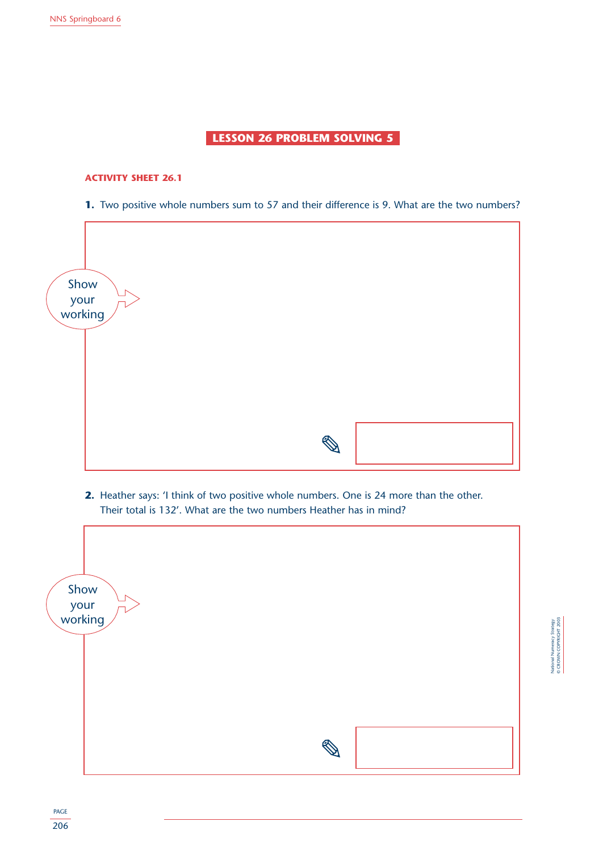#### **ACTIVITY SHEET 26.1**

**1.** Two positive whole numbers sum to 57 and their difference is 9. What are the two numbers?



National Numeracy Strategy<br>© CROWN COPYRIGHT 2003 © CROWN COPYRIGHT 2003 National Numeracy Strategy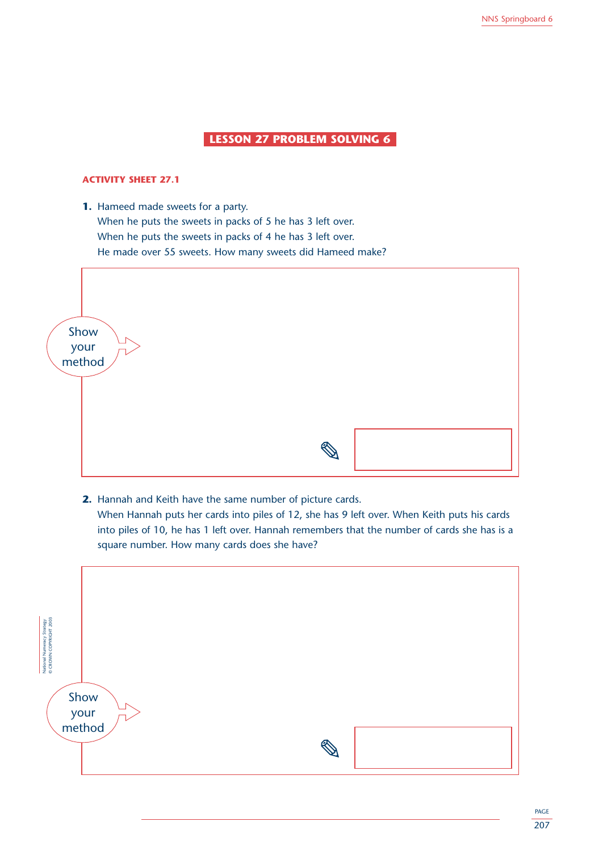#### **ACTIVITY SHEET 27.1**

- **1.** Hameed made sweets for a party.
	- When he puts the sweets in packs of 5 he has 3 left over. When he puts the sweets in packs of 4 he has 3 left over. He made over 55 sweets. How many sweets did Hameed make?



**2.** Hannah and Keith have the same number of picture cards.

When Hannah puts her cards into piles of 12, she has 9 left over. When Keith puts his cards into piles of 10, he has 1 left over. Hannah remembers that the number of cards she has is a square number. How many cards does she have?

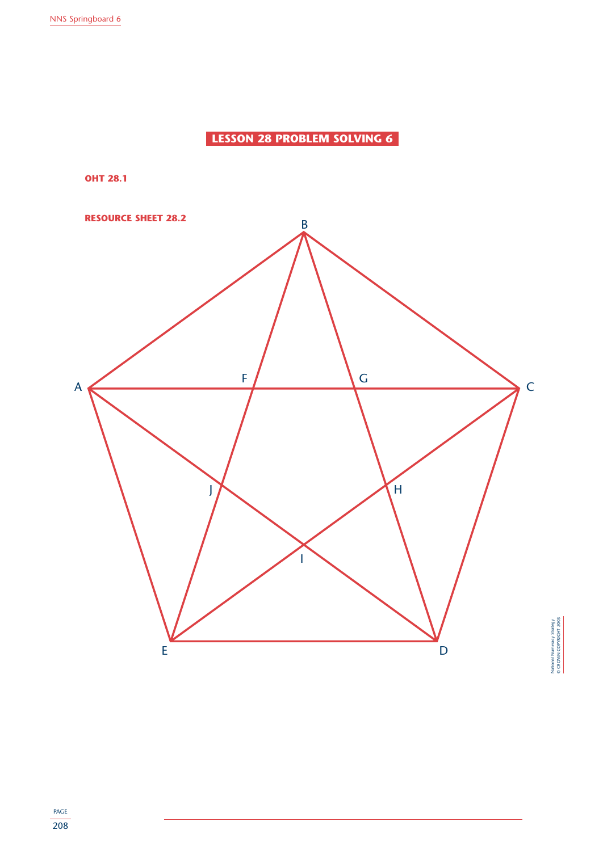**OHT 28.1**



National Numeracy Strategy<br>© CROWN COPYRIGHT 2003 © CROWN COPYRIGHT 2003 National Numeracy Strategy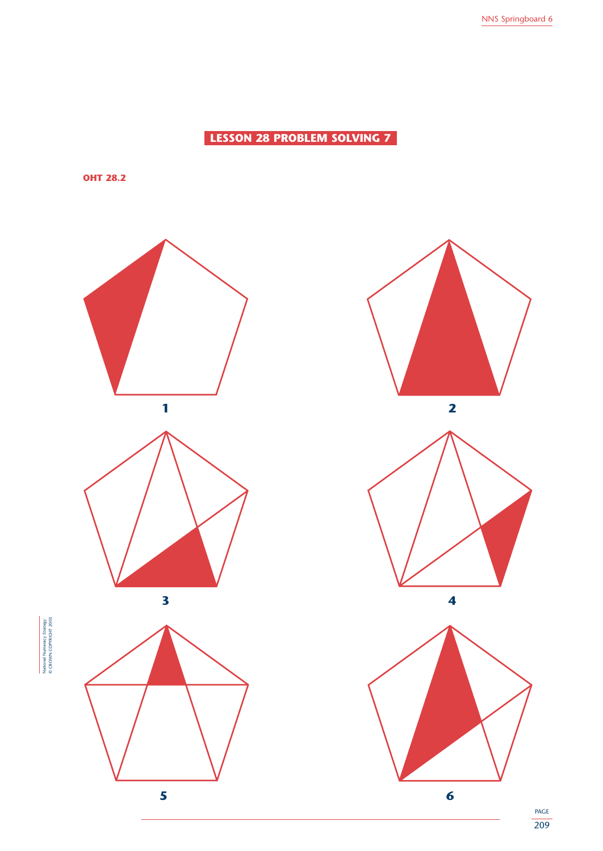**OHT 28.2**









**5 6** 

National Numeracy Strategy<br>© CROWN COPYRIGHT 2003 © CROWN COPYRIGHT 2003 National Numeracy Strategy

> PAGE 209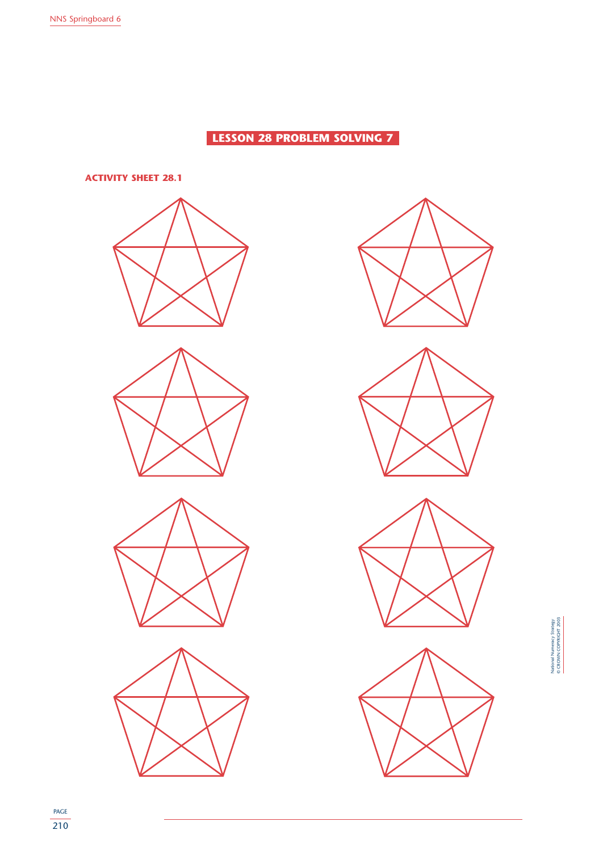**ACTIVITY SHEET 28.1**











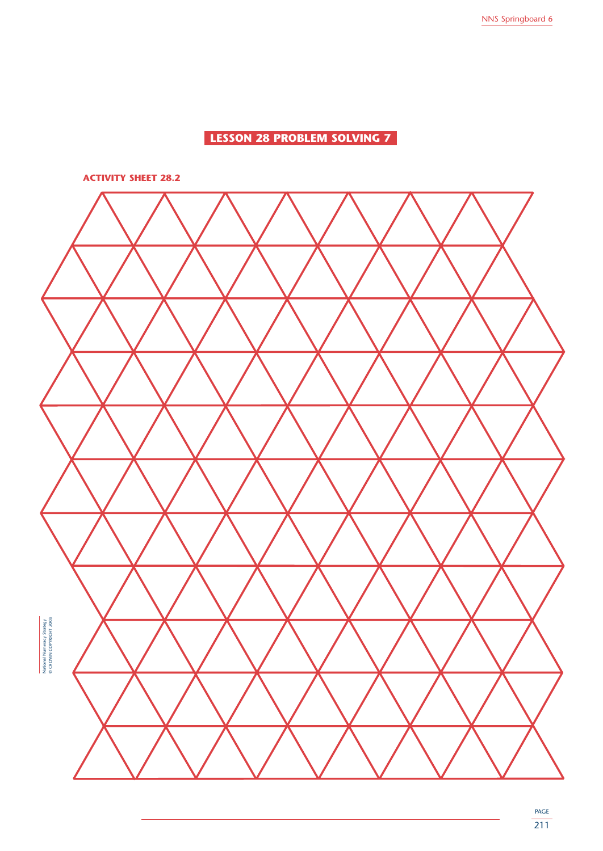

NNS Springboard 6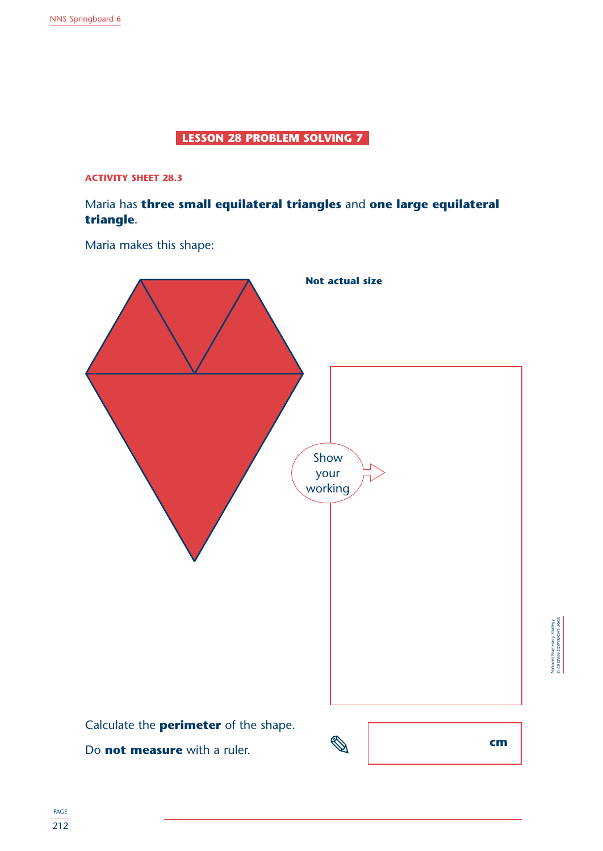# **ACTIVITY SHEET 28.3**

# Maria has **three small equilateral triangles** and **one large equilateral triangle**.

Maria makes this shape:



© CROWN COPYRIGHT 2003

PAGE 212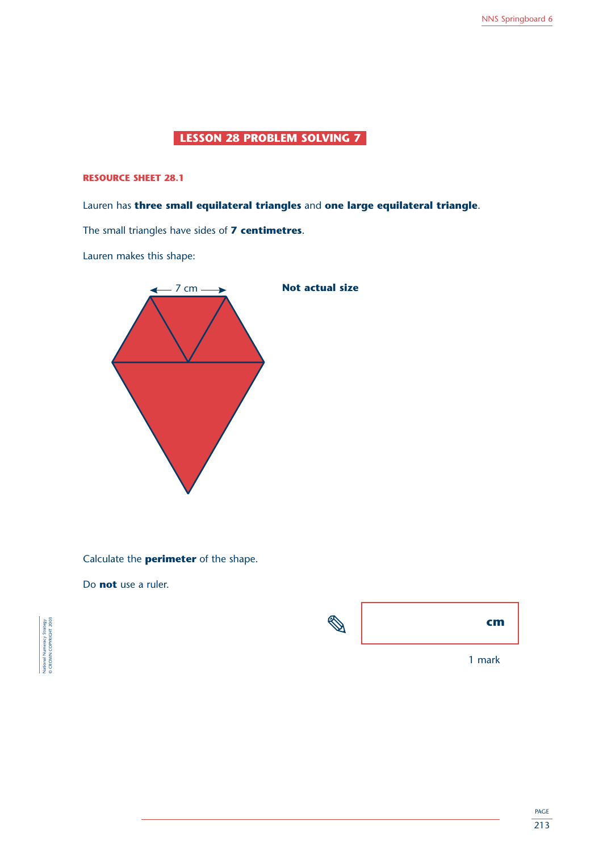## **LESSON 28 PROBLEM SOLVING 7**

## **RESOURCE SHEET 28.1**

Lauren has **three small equilateral triangles** and **one large equilateral triangle**.

The small triangles have sides of **7 centimetres**.

Lauren makes this shape:



Calculate the **perimeter** of the shape.

Do **not** use a ruler.

National Numeracy Strategy<br>© CROWN COPYRIGHT 2003 © CROWN COPYRIGHT 2003 National Numeracy Strategy

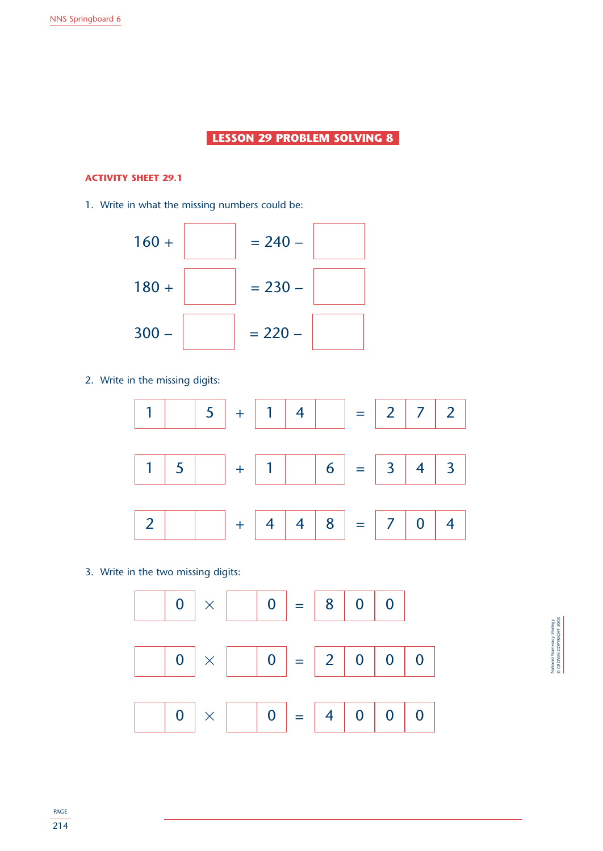## **LESSON 29 PROBLEM SOLVING 8**

## **ACTIVITY SHEET 29.1**

1. Write in what the missing numbers could be:



2. Write in the missing digits:



3. Write in the two missing digits:



National Numeracy Strategy<br>© CROWN COPYRIGHT 2003 © CROWN COPYRIGHT 2003 National Numeracy Strategy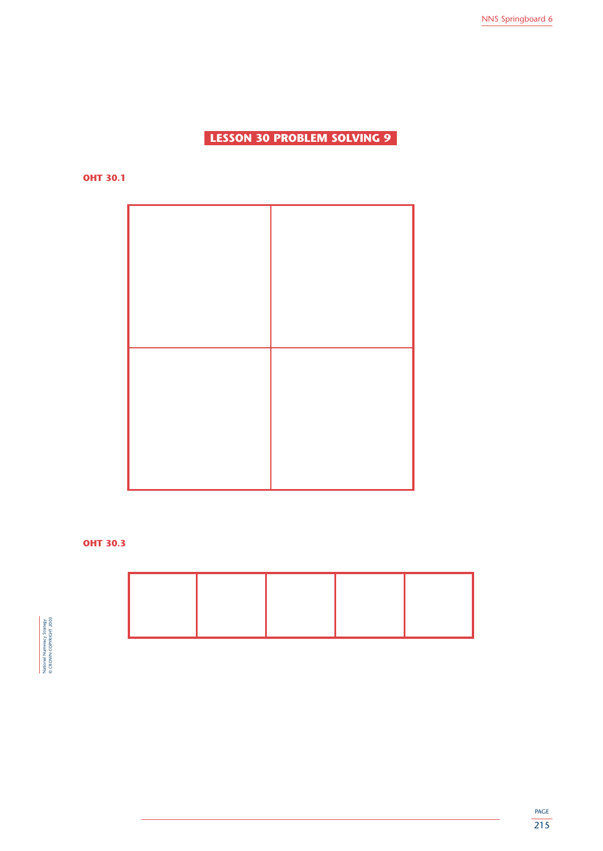**LESSON 30 PROBLEM SOLVING 9**

**OHT 30.1**



**OHT 30.3**



National Numeracy Strategy<br>© CROWN COPYRIGHT 2003 © CROWN COPYRIGHT 2003 National Numeracy Strategy

> PAGE 215